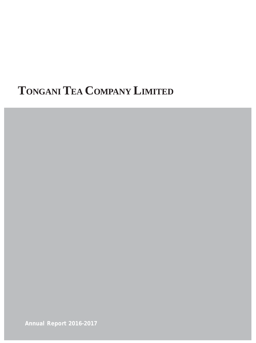# **TONGANI TEA COMPANY LIMITED**



*Annual Report 2016-2017*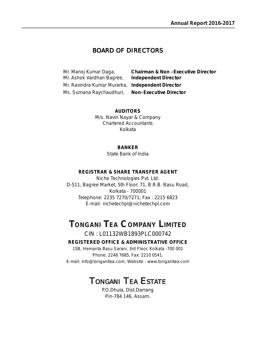# BOARD OF DIRECTORS

Mr. Manoj Kumar Daga, *Chairman & Non –Executive Director* Mr. Ashok Vardhan Bagree, *Independent Director* Mr. Ravindra Kumar Murarka, *Independent Director* Ms. Sumana Raychaudhuri, *Non–Executive Director*

# **AUDITORS**

M/s. Navin Nayar & Company *Chartered Accountants* Kolkata

# **BANKER**

State Bank of India

# **REGISTRAR & SHARE TRANSFER AGENT**

Niche Technologies Pvt. Ltd. D-511, Bagree Market, 5th Floor, 71, B.R.B. Basu Road, Kolkata - 700001 Telephone: 2235 7270/7271; Fax : 2215 6823 E-mail: nichetechpl@nichetechpl.com

# **TONGANI TEA COMPANY LIMITED**

CIN : L01132WB1893PLC000742

# **REGISTERED OFFICE & ADMINISTRATIVE OFFICE**

15B, Hemanta Basu Sarani, 3rd Floor, Kolkata -700 001 Phone: 2248 7685, Fax: 2210 0541. E-mail: info@tonganitea.com, Website : www.tonganitea.com

# TONGANI TEA ESTATE

P.O.Dhula, Dist.Darrang Pin-784 146, Assam.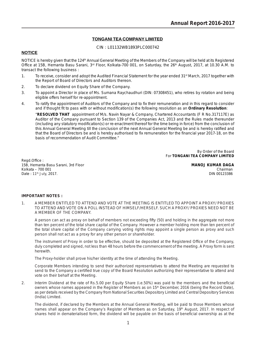# **TONGANI TEA COMPANY LIMITED**

# CIN : L01132WB1893PLC000742

# **NOTICE**

NOTICE is hereby given that the 124<sup>th</sup> Annual General Meeting of the Members of the Company will be held at its Registered Office at 15B, Hemanta Basu Sarani, 3<sup>rd</sup> Floor, Kolkata-700 001, on Saturday, the 26<sup>th</sup> August, 2017, at 10.30 A.M. to transact the following business :

- 1. To receive, consider and adopt the Audited Financial Statement for the year ended 31<sup>st</sup> March, 2017 together with the Report of Board of Directors and Auditors thereon.
- 2. To declare dividend on Equity Share of the Company.
- 3. To appoint a Director in place of Ms. Sumana Raychaudhuri (DIN: 07308451), who retires by rotation and being eligible offers herself for re-appointment.
- 4. To ratify the appointment of Auditors of the Company and to fix their remuneration and in this regard to consider and if thought fit to pass with or without modification(s) the following resolution as an **Ordinary Resolution**:

"**RESOLVED THAT** appointment of M/s. Navin Nayar & Company, Chartered Accountants (F R No.317117E) as Auditor of the Company pursuant to Section 139 of the Companies Act, 2013 and the Rules made thereunder (including any statutory modification(s) or re-enactment thereof for the time being in force) from the conclusion of this Annual General Meeting till the conclusion of the next Annual General Meeting be and is hereby ratified and that the Board of Directors be and is hereby authorised to fix remuneration for the financial year 2017-18, on the basis of recommendation of Audit Committee."

> By Order of the Board For **TONGANI TEA COMPANY LIMITED**

Read.Office: 15B, Hemanta Basu Sarani, 3rd Floor **MANOJ KUMAR DAGA** Kolkata – 700 001 *Chairman* Date:  $11^{th}$  July, 2017.

# **IMPORTANT NOTES :**

1. A MEMBER ENTITLED TO ATTEND AND VOTE AT THE MEETING IS ENTITLED TO APPOINT A PROXY/ PROXIES TO ATTEND AND VOTE ON A POLL INSTEAD OF HIMSELF/HERSELF. SUCH A PROXY/ PROXIES NEED NOT BE A MEMBER OF THE COMPANY.

A person can act as proxy on behalf of members not exceeding fifty (50) and holding in the aggregate not more than ten percent of the total share capital of the Company. However a member holding more than ten percent of the total share capital of the Company carrying voting rights may appoint a single person as proxy and such person shall not act as a proxy for any other person or shareholder.

The instrument of Proxy in order to be effective, should be deposited at the Registered Office of the Company, duly completed and signed, not less than 48 hours before the commencement of the meeting. A Proxy form is sent herewith.

The Proxy-holder shall prove his/her identity at the time of attending the Meeting.

Corporate Members intending to send their authorized representatives to attend the Meeting are requested to send to the Company a certified true copy of the Board Resolution authorizing their representative to attend and vote on their behalf at the Meeting.

2. Interim Dividend at the rate of Rs.5.00 per Equity Share (i.e.50%) was paid to the members and the beneficial owners whose names appeared in the Register of Members as on 15<sup>th</sup> December, 2016 (being the Record Date), as per details received by the Company from National Securities Depository Limited and Central Depository Services (India) Limited.

The dividend, if declared by the Members at the Annual General Meeting, will be paid to those Members whose names shall appear on the Company's Register of Members as on Saturday, 19th August, 2017. In respect of shares held in dematerialised form, the dividend will be payable on the basis of beneficial ownership as at the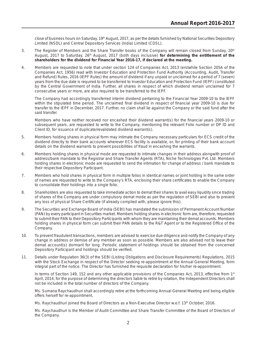close of business hours on Saturday, 19<sup>th</sup> August, 2017, as per the details furnished by National Securities Depository Limited (NSDL) and Central Depository Services (India) Limited (CDSL).

- 3. The Register of Members and the Share Transfer books of the Company will remain closed from Sunday, 20<sup>th</sup> August, 2017 to Saturday, 26<sup>th</sup> August, 2017 (both days inclusive) *for determining the entitlement of the shareholders for the dividend for Financial Year 2016-17, if declared at the meeting.*
- 4. Members are requested to note that under section 124 of Companies Act, 2013 (erstwhile Section 205A of the Companies Act, 1956) read with Investor Education and Protection Fund Authority (Accounting, Audit, Transfer and Refund) Rules, 2016 (IEPF Rules) the amount of dividend if any unpaid or unclaimed for a period of 7 (seven) years from the due date is required to be transferred to Investor Education and Protection Fund (IEPF) constituted by the Central Government of India. Further, all shares in respect of which dividend remain unclaimed for 7 consecutive years or more, are also required to be transferred to the IEPF.

The Company had accordingly transferred interim dividend pertaining to the Financial Year 2009-10 to the IEPF within the stipulated time period. The unclaimed final dividend in respect of financial year 2009-10 is due for transfer to the IEPF in December, 2017. Further, no claim shall lie against the Company or the said fund after the said transfer.

Members who have neither received nor encashed their dividend warrant(s) for the financial years 2009-10 or subsequent years, are requested to write to the Company, mentioning the relevant Folio number or DP ID and Client ID, for issuance of duplicate/revalidated dividend warrant(s).

- 5. Members holding shares in physical form may intimate the Company necessary particulars for ECS credit of the dividend directly to their bank accounts wherever ECS facility is available, or, for printing of their bank account details on the dividend warrants to prevent possibilities of fraud in encashing the warrants.
- 6. Members holding shares in physical mode are requested to intimate changes in their address alongwith proof of address/bank mandate to the Registrar and Share Transfer Agents (RTA), Niche Technologies Pvt. Ltd. Members holding shares in electronic mode are requested to send the intimation for change of address / bank mandate to their respective Depository Participant.
- 7. Members who hold shares in physical form in multiple folios in identical names or joint holding in the same order of names are requested to write to the Company's RTA, enclosing their share certificates to enable the Company to consolidate their holdings into a single folio.
- 8. Shareholders are also requested to take immediate action to demat their shares to avail easy liquidity since trading of shares of the Company are under compulsory demat mode as per the regulation of SEBI and also to prevent any loss of physical Share Certificate (if already complied with, please ignore this).
- 9. The Securities and Exchange Board of India (SEBI) has mandated the submission of Permanent Account Number (PAN) by every participant in Securities market. Members holding shares in electronic form are, therefore, requested to submit their PAN to their Depository Participants with whom they are maintaining their demat accounts. Members holding shares in physical form can submit their PAN details to the R&T Agent or to the Registered Office of the Company.
- 10. To prevent fraudulent transactions, members are advised to exercise due diligence and notify the Company of any change in address or demise of any member as soon as possible. Members are also advised not to leave their demat account(s) dormant for long. Periodic statement of holdings should be obtained from the concerned Depository Participant and holdings should be verified.
- 11. Details under Regulation 36(3) of the SEBI (Listing Obligations and Disclosure Requirements) Regulations, 2015 with the Stock Exchange in respect of the Director seeking re-appointment at the Annual General Meeting, form integral part of the notice. The Director has furnished the requisite declaration for his/her re-appointment.

In terms of Section 149, 152 and any other applicable provisions of the Companies Act, 2013, effective from 1<sup>st</sup> April, 2014, for the purpose of determining the directors liable to retire by rotation, the Independent Directors shall not be included in the total number of directors of the Company.

Ms. Sumana Raychaudhuri shall accordingly retire at the forthcoming Annual General Meeting and being eligible offers herself for re-appointment.

Ms. Raychaudhuri joined the Board of Directors as a Non-Executive Director w.e.f. 13<sup>th</sup> October, 2016.

Ms. Raychaudhuri is the Member of Audit Committee and Share Transfer Committee of the Board of Directors of the Company.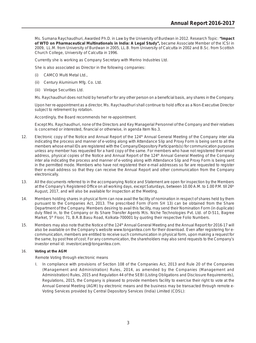Ms. Sumana Raychaudhuri, Awarded Ph.D. in Law by the University of Burdwan in 2012. Research Topic: *"***Impact of WTO on Pharmaceutical Multinationals in India: A Legal Study",** became Associate Member of the ICSI in 2009, LL.M. from University of Burdwan in 2005, LL.B. from University of Calcutta in 2002 and B.Sc. from Scottish Church College, University of Calcutta in 1996.

Currently she is working as Company Secretary with Merino Industries Ltd.

She is also associated as Director in the following companies:

- (i) CAMCO Multi Metal Ltd.,
- (ii) Century Aluminium Mfg. Co. Ltd.
- (iii) Vintage Securities Ltd.

Ms. Raychaudhuri does not hold by herself or for any other person on a beneficial basis, any shares in the Company.

Upon her re-appointment as a director, Ms. Raychaudhuri shall continue to hold office as a Non-Executive Director subject to retirement by rotation.

Accordingly, the Board recommends her re-appointment.

Except Ms. Raychaudhuri, none of the Directors and Key Managerial Personnel of the Company and their relatives is concerned or interested, financial or otherwise, in agenda Item No.3.

- 12. Electronic copy of the Notice and Annual Report of the 124<sup>th</sup> Annual General Meeting of the Company inter alia indicating the process and manner of e-voting along with Attendance Slip and Proxy Form is being sent to all the members whose email IDs are registered with the Company/Depository Participants(s) for communication purposes unless any member has requested for a hard copy of the same. For members who have not registered their email address, physical copies of the Notice and Annual Report of the 124<sup>th</sup> Annual General Meeting of the Company inter alia indicating the process and manner of e-voting along with Attendance Slip and Proxy Form is being sent in the permitted mode. Members who have not registered their e-mail addresses so far are requested to register their e-mail address so that they can receive the Annual Report and other communication from the Company electronically.
- 13. All the documents referred to in the accompanying Notice and Statement are open for inspection by the Members at the Company's Registered Office on all working days, except Saturdays, between 10.00 A.M. to 1.00 P.M. till 26<sup>th</sup> August, 2017, and will also be available for inspection at the Meeting.
- 14. Members holding shares in physical form can now avail the facility of nomination in respect of shares held by them pursuant to the Companies Act, 2013. The prescribed Form (Form SH 13) can be obtained from the Share Department of the Company. Members desiring to avail this facility, may send their Nomination Form (in duplicate) duly filled in, to the Company or its Share Transfer Agents M/s. Niche Technologies Pvt. Ltd. of D-511, Bagree Market, 5<sup>th</sup> Floor, 71, B.R.B.Basu Road, Kolkata-700001 by quoting their respective Folio Numbers.
- 15. Members may also note that the Notice of the 124<sup>th</sup> Annual General Meeting and the Annual Report for 2016-17 will also be available on the Company's website www.tonganitea.com for their download. Even after registering for ecommunication, members are entitled to receive such communication in physical form, upon making a request for the same, by post free of cost. For any communication, the shareholders may also send requests to the Company's investor email id: investorcare@tonganitea.com.

# 16. **Voting at the AGM**

Remote Voting through electronic means

In compliance with provisions of Section 108 of the Companies Act, 2013 and Rule 20 of the Companies (Management and Administration) Rules, 2014, as amended by the Companies (Management and Administration) Rules, 2015 and Regulation 44 of the SEBI (Listing Obligations and Disclosure Requirements), Regulations, 2015, the Company is pleased to provide members facility to exercise their right to vote at the Annual General Meeting (AGM) by electronic means and the business may be transacted through remote e-Voting Services provided by Central Depository Services (India) Limited (CDSL):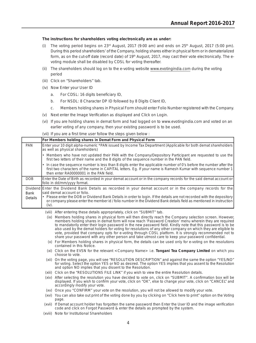# **The instructions for shareholders voting electronically are as under:**

- (i) The voting period begins on  $23<sup>rd</sup>$  August, 2017 (9:00 am) and ends on  $25<sup>th</sup>$  August, 2017 (5:00 pm). During this period shareholders' of the Company, holding shares either in physical form or in dematerialized form, as on the cut-off date (record date) of 19<sup>th</sup> August, 2017, may cast their vote electronically. The evoting module shall be disabled by CDSL for voting thereafter.
- (ii) The shareholders should log on to the e-voting website www.evotingindia.com during the voting period
- (iii) Click on "Shareholders" tab.
- (iv) Now Enter your User ID
	- a. For CDSL: 16 digits beneficiary ID,
	- b. For NSDL: 8 Character DP ID followed by 8 Digits Client ID,
	- c. Members holding shares in Physical Form should enter Folio Number registered with the Company.
- (v) Next enter the Image Verification as displayed and Click on Login.
- (vi) If you are holding shares in demat form and had logged on to www.evotingindia.com and voted on an earlier voting of any company, then your existing password is to be used.
- (vii) If you are a first time user follow the steps given below :

|                 |                                                                                                                                                                                                                                                                               | For Members holding shares in Demat Form and Physical Form                                                                                                                                                                                                                                                                                                                                                                                                                                                                                                                                                                                                             |  |  |  |  |  |  |
|-----------------|-------------------------------------------------------------------------------------------------------------------------------------------------------------------------------------------------------------------------------------------------------------------------------|------------------------------------------------------------------------------------------------------------------------------------------------------------------------------------------------------------------------------------------------------------------------------------------------------------------------------------------------------------------------------------------------------------------------------------------------------------------------------------------------------------------------------------------------------------------------------------------------------------------------------------------------------------------------|--|--|--|--|--|--|
| PAN             |                                                                                                                                                                                                                                                                               | Enter your 10 digit alpha-numeric *PAN issued by Income Tax Department (Applicable for both demat shareholders<br>as well as physical shareholders)                                                                                                                                                                                                                                                                                                                                                                                                                                                                                                                    |  |  |  |  |  |  |
|                 |                                                                                                                                                                                                                                                                               | • Members who have not updated their PAN with the Company/Depository Participant are requested to use the<br>first two letters of their name and the 8 digits of the sequence number in the PAN field.                                                                                                                                                                                                                                                                                                                                                                                                                                                                 |  |  |  |  |  |  |
|                 | • In case the sequence number is less than 8 digits enter the applicable number of 0's before the number after the<br>first two characters of the name in CAPITAL letters. Eq. If your name is Ramesh Kumar with sequence number 1<br>then enter RA00000001 in the PAN field. |                                                                                                                                                                                                                                                                                                                                                                                                                                                                                                                                                                                                                                                                        |  |  |  |  |  |  |
| <b>DOB</b>      |                                                                                                                                                                                                                                                                               | Enter the Date of Birth as recorded in your demat account or in the company records for the said demat account or<br>folio in dd/mm/yyyy format.                                                                                                                                                                                                                                                                                                                                                                                                                                                                                                                       |  |  |  |  |  |  |
| Bank<br>Details | (iv).                                                                                                                                                                                                                                                                         | Dividend Enter the Dividend Bank Details as recorded in your demat account or in the company records for the<br>said demat account or folio.<br>• Please enter the DOB or Dividend Bank Details in order to login. If the details are not recorded with the depository<br>or company please enter the member id / folio number in the Dividend Bank details field as mentioned in instruction                                                                                                                                                                                                                                                                          |  |  |  |  |  |  |
|                 |                                                                                                                                                                                                                                                                               | (viii) After entering these details appropriately, click on "SUBMIT" tab.                                                                                                                                                                                                                                                                                                                                                                                                                                                                                                                                                                                              |  |  |  |  |  |  |
|                 |                                                                                                                                                                                                                                                                               | (ix) Members holding shares in physical form will then directly reach the Company selection screen. However,<br>members holding shares in demat form will now reach 'Password Creation' menu wherein they are required<br>to mandatorily enter their login password in the new password field. Kindly note that this password is to be<br>also used by the demat holders for voting for resolutions of any other company on which they are eligible to<br>vote, provided that company opts for e-voting through CDSL platform. It is strongly recommended not to<br>share your password with any other person and take utmost care to keep your password confidential. |  |  |  |  |  |  |
|                 |                                                                                                                                                                                                                                                                               | (x) For Members holding shares in physical form, the details can be used only for e-voting on the resolutions<br>contained in this Notice.                                                                                                                                                                                                                                                                                                                                                                                                                                                                                                                             |  |  |  |  |  |  |
|                 |                                                                                                                                                                                                                                                                               | (xi) Click on the EVSN for the relevant < Company Name > i.e. Tongani Tea Company Limited on which you<br>choose to vote.                                                                                                                                                                                                                                                                                                                                                                                                                                                                                                                                              |  |  |  |  |  |  |
|                 |                                                                                                                                                                                                                                                                               | (xii) On the voting page, you will see "RESOLUTION DESCRIPTION" and against the same the option "YES/NO"<br>for voting. Select the option YES or NO as desired. The option YES implies that you assent to the Resolution<br>and option NO implies that you dissent to the Resolution.                                                                                                                                                                                                                                                                                                                                                                                  |  |  |  |  |  |  |
|                 |                                                                                                                                                                                                                                                                               | (xiii) Click on the "RESOLUTIONS FILE LINK" if you wish to view the entire Resolution details.                                                                                                                                                                                                                                                                                                                                                                                                                                                                                                                                                                         |  |  |  |  |  |  |
|                 |                                                                                                                                                                                                                                                                               | (xiv) After selecting the resolution you have decided to vote on, click on "SUBMIT". A confirmation box will be<br>displayed. If you wish to confirm your vote, click on "OK", else to change your vote, click on "CANCEL" and<br>accordingly modify your vote.                                                                                                                                                                                                                                                                                                                                                                                                        |  |  |  |  |  |  |
|                 |                                                                                                                                                                                                                                                                               | (xv) Once you "CONFIRM" your vote on the resolution, you will not be allowed to modify your vote.                                                                                                                                                                                                                                                                                                                                                                                                                                                                                                                                                                      |  |  |  |  |  |  |
|                 |                                                                                                                                                                                                                                                                               | (xvi) You can also take out print of the voting done by you by clicking on "Click here to print" option on the Voting<br>page.                                                                                                                                                                                                                                                                                                                                                                                                                                                                                                                                         |  |  |  |  |  |  |
|                 | (xvii)                                                                                                                                                                                                                                                                        | If Demat account holder has forgotten the same password then Enter the User ID and the image verification<br>code and click on Forgot Password & enter the details as prompted by the system.                                                                                                                                                                                                                                                                                                                                                                                                                                                                          |  |  |  |  |  |  |
|                 |                                                                                                                                                                                                                                                                               | (xviii) Note for Institutional Shareholders                                                                                                                                                                                                                                                                                                                                                                                                                                                                                                                                                                                                                            |  |  |  |  |  |  |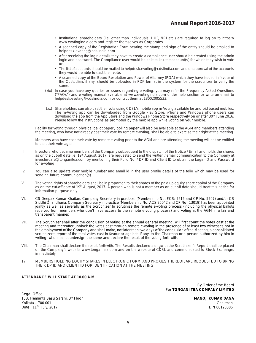- Institutional shareholders (i.e. other than Individuals, HUF, NRI etc.) are required to log on to https:// www.evotingindia.com and register themselves as Corporates.
- A scanned copy of the Registration Form bearing the stamp and sign of the entity should be emailed to helpdesk.evoting@cdslindia.com.
- After receiving the login details they have to create a compliance user should be created using the admin login and password. The Compliance user would be able to link the account(s) for which they wish to vote on.
- The list of accounts should be mailed to helpdesk.evoting@cdslindia.com and on approval of the accounts they would be able to cast their vote.
- A scanned copy of the Board Resolution and Power of Attorney (POA) which they have issued in favour of the Custodian, if any, should be uploaded in PDF format in the system for the scrutinizer to verify the same.
- (xix) In case you have any queries or issues regarding e-voting, you may refer the Frequently Asked Questions ("FAQs") and e-voting manual available at www.evotingindia.com under help section or write an email to helpdesk.evoting@cdslindia.com or contact them at 18002005533.
- (xx) Shareholders can also cast their vote using CDSL's mobile app m-Voting available for android based mobiles. The m-Voting app can be downloaded from Google Play Store. iPhone and Windows phone users can download the app from the App Store and the Windows Phone Store respectively on or after 30<sup>th</sup> June 2016. Please follow the instructions as prompted by the mobile app while voting on your mobile.
- II. Facility for voting through physical ballot paper / polling paper will also be available at the AGM and members attending the meeting, who have not already cast their vote by remote e-voting, shall be able to exercise their right at the meeting.

Members who have cast their vote by remote e-voting prior to the AGM and are attending the meeting will not be entitled to cast their vote again.

- III. Investors who became members of the Company subsequent to the dispatch of the Notice / Email and holds the shares as on the cut-off date i.e. 19<sup>th</sup> August, 2017, are requested to send the written / email communication to the Company at investorcare@tonganitea.com by mentioning their Folio No. / DP ID and Client ID to obtain the Login-ID and Password for e-voting.
- IV. You can also update your mobile number and email id in the user profile details of the folio which may be used for sending future communication(s).
- V. The voting rights of shareholders shall be in proportion to their shares of the paid up equity share capital of the Company as on the cut-off date of 19th August, 2017**.** A person who is not a member as on cut off date should treat this notice for information purpose only.
- VI. CS Deepak Kumar Khaitan, Company Secretary in practice, (Membership No. FCS: 5615 and CP No. 5207) and/or CS Siddhi Dhandharia, Company Secretary in practice (Membership No. ACS 35042 and CP No. 13019) has been appointed jointly as well as severally as the Scrutinizer to scrutinize the remote e-voting process (including the physical ballots received from members who don't have access to the remote e-voting process) and voting at the AGM in a fair and transparent manner.
- VII. The Scrutinizer shall after the conclusion of voting at the annual general meeting, will first count the votes cast at the meeting and thereafter unblock the votes cast through remote e-voting in the presence of at least two witnesses not in the employment of the Company and shall make, not later than two days of the conclusion of the Meeting, a consolidated scrutinizer's report of the total votes cast in favour or against, if any, to the Chairman or a person authorized by him in writing, who shall countersign the same and declare the result of the voting forthwith.
- VIII. The Chairman shall declare the result forthwith. The Results declared alongwith the Scrutinizer's Report shall be placed on the Company's website www.tonganitea.com and on the website of CDSL and communicated to Stock Exchange, immediately.
- 17. MEMBERS HOLDING EQUITY SHARES IN ELECTRONIC FORM, AND PROXIES THEREOF, ARE REQUESTED TO BRING THEIR DP ID AND CLIENT ID FOR IDENTIFICATION AT THE MEETING.

# **ATTENDANCE WILL START AT 10.00 A.M.**

By Order of the Board For **TONGANI TEA COMPANY LIMITED**

Regd. Office : 15B, Hemanta Basu Sarani, 3rd Floor **MANOJ KUMAR DAGA** Kolkata – 700 001 *Chairman* Date:  $11<sup>TH</sup>$  July, 2017.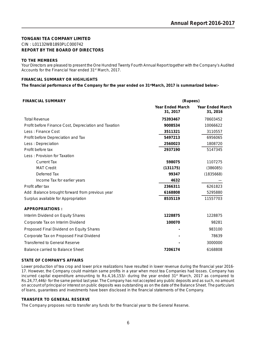# **TONGANI TEA COMPANY LIMITED** CIN : L01132WB1893PLC000742 **REPORT BY THE BOARD OF DIRECTORS**

# **TO THE MEMBERS**

Your Directors are pleased to present the One Hundred Twenty Fourth Annual Report together with the Company's Audited Accounts for the Financial Year ended 31st March, 2017.

# **FINANCIAL SUMMARY OR HIGHLIGHTS**

**The financial performance of the Company for the year ended on 31stMarch, 2017 is summarized below:-**

| <b>FINANCIAL SUMMARY</b>                              | (Rupees)                            |                                     |
|-------------------------------------------------------|-------------------------------------|-------------------------------------|
|                                                       | <b>Year Ended March</b><br>31, 2017 | <b>Year Ended March</b><br>31, 2016 |
| <b>Total Revenue</b>                                  | 75393467                            | 78603452                            |
| Profit before Finance Cost, Depreciation and Taxation | 9008534                             | 10066622                            |
| Less: Finance Cost                                    | 3511321                             | 3110557                             |
| Profit before Depreciation and Tax                    | 5497213                             | 6956065                             |
| Less: Depreciation                                    | 2560023                             | 1808720                             |
| Profit before tax                                     | 2937190                             | 5147345                             |
| Less: Provision for Taxation                          |                                     |                                     |
| <b>Current Tax</b>                                    | 598075                              | 1107275                             |
| <b>MAT Credit</b>                                     | (131175)                            | (386085)                            |
| Deferred Tax                                          | 99347                               | (1835668)                           |
| Income Tax for earlier years                          | 4632                                |                                     |
| Profit after tax                                      | 2366311                             | 6261823                             |
| Add: Balance brought forward from previous year       | 6168808                             | 5295880                             |
| Surplus available for Appropriation                   | 8535119                             | 11557703                            |
| <b>APPROPRIATIONS:</b>                                |                                     |                                     |
| Interim Dividend on Equity Shares                     | 1228875                             | 1228875                             |
| Corporate Tax on Interim Dividend                     | 100070                              | 98281                               |
| Proposed Final Dividend on Equity Shares              |                                     | 983100                              |
| Corporate Tax on Proposed Final Dividend              |                                     | 78639                               |
| <b>Transferred to General Reserve</b>                 |                                     | 3000000                             |
| Balance carried to Balance Sheet                      | 7206174                             | 6168808                             |

# **STATE OF COMPANY'S AFFAIRS**

Lower production of tea crop and lower price realizations have resulted in lower revenue during the financial year 2016- 17. However, the Company could maintain same profits in a year when most tea Companies had losses. Company has incurred capital expenditure amounting to Rs.4,16,153/- during the year ended 31st March, 2017 as compared to Rs.24,77,446/- for the same period last year. The Company has not accepted any public deposits and as such, no amount on account of principal or interest on public deposits was outstanding as on the date of the Balance Sheet. The particulars of loans, guarantees and investments have been disclosed in the financial statements of the Company.

# **TRANSFER TO GENERAL RESERVE**

The Company proposes not to transfer any funds for the financial year to the General Reserve.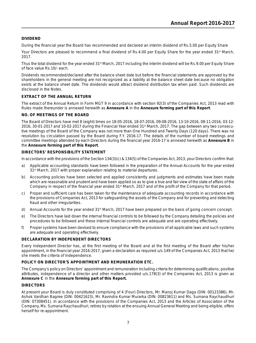# **DIVIDEND**

During the financial year the Board has recommended and declared an interim dividend of Rs.5.00 per Equity Share

Your Directors are pleased to recommend a final dividend of Rs.4.00 per Equity Share for the year ended 31<sup>st</sup> March, 2017.

Thus the total dividend for the year ended 31<sup>st</sup> March, 2017 including the interim dividend will be Rs.9.00 per Equity Share of face value Rs.10/- each.

Dividends recommended/declared after the balance sheet date but before the financial statements are approved by the shareholders in the general meeting are not recognized as a liability at the balance sheet date because no obligation exists at the balance sheet date. The dividends would attract dividend distribution tax when paid. Such dividends are disclosed in the Notes.

# **EXTRACT OF THE ANNUAL RETURN**

The extract of the Annual Return in Form MGT 9 in accordance with section 92(3) of the Companies Act, 2013 read with Rules made thereunder is annexed herewith as **Annexure A** in the **Annexure forming part of this Report**.

# **NO. OF MEETINGS OF THE BOARD**

The Board of Directors have met 8 (eight) times on 18-05-2016, 18-07-2016, 09-08-2016, 13-10-2016, 08-11-2016, 03-12- 2016, 30-01-2017 and 10-02-2017 during the Financial Year ended 31st March, 2017. The gap between any two consecutive meetings of the Board of the Company was not more than One Hundred and Twenty Days (120 days). There was no resolution by circulation passed by the Board during F.Y. 2016-17. The details of the number of board meetings and committee meetings attended by each Directors during the financial year 2016-17 is annexed herewith as **Annexure B** in the **Annexure forming part of this Report**.

# **DIRECTORS' RESPONSIBILITY STATEMENT**

In accordance with the provisions of the Section 134(3)(c) & 134(5) of the Companies Act, 2013, your Directors confirm that:

- a) Applicable accounting standards have been followed in the preparation of the Annual Accounts for the year ended 31<sup>st</sup> March, 2017 with proper explanation relating to material departures.
- b) Accounting policies have been selected and applied consistently and judgments and estimates have been made which are reasonable and prudent and have been applied so as to give a true and fair view of the state of affairs of the Company in respect of the financial year ended 31<sup>st</sup> March, 2017 and of the profit of the Company for that period.
- c) Proper and sufficient care has been taken for the maintenance of adequate accounting records in accordance with the provisions of Companies Act, 2013 for safeguarding the assets of the Company and for preventing and detecting fraud and other irregularities.
- d) Annual Accounts for the year ended 31<sup>st</sup> March, 2017 have been prepared on the basis of going concern concept.
- e) The Directors have laid down the internal financial controls to be followed by the Company detailing the policies and procedures to be followed and these internal financial controls are adequate and are operating effectively.
- f) Proper systems have been devised to ensure compliance with the provisions of all applicable laws and such systems are adequate and operating effectively.

# **DECLARATION BY INDEPENDENT DIRECTORS**

Every Independent Director has, at the first meeting of the Board and at the first meeting of the Board after his/her appointment, in the financial year 2016-2017, given a declaration as required u/s.149 of the Companies Act, 2013 that he/ she meets the criteria of Independence.

# **POLICY ON DIRECTOR'S APPOINTMENT AND REMUNERATION ETC.**

The Company's policy on Directors' appointment and remuneration including criteria for determining qualifications, positive attributes, independence of a director and other matters provided u/s.178(3) of the Companies Act, 2013 is given as **Annexure C** in the **Annexure forming part of this Report.**

# **DIRECTORS**

At present your Board is duly constituted comprising of 4 (Four) Directors, Mr. Manoj Kumar Daga (DIN: 00123386), Mr. Ashok Vardhan Bagree (DIN: 00421623), Mr. Ravindra Kumar Murarka (DIN: 00823611) and Ms. Sumana Raychaudhuri (DIN: 07308451). In accordance with the provisions of the Companies Act, 2013 and the Articles of Association of the Company, Ms. Sumana Raychaudhuri, retires by rotation at the ensuing Annual General Meeting and being eligible, offers herself for re-appointment.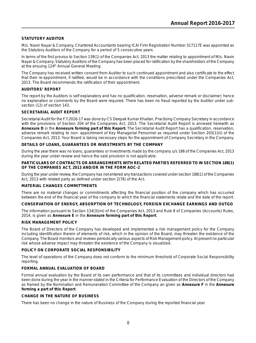# **STATUTORY AUDITOR**

M/s. Navin Nayar & Company, Chartered Accountants bearing ICAI Firm Registration Number 317117E was appointed as the Statutory Auditors of the Company for a period of 5 consecutive years.

In terms of the first proviso to Section 139(1) of the Companies Act, 2013 the matter relating to appointment of M/s. Navin Nayar & Company, Statutory Auditors of the Company has been placed for ratification by the shareholders of the Company at the ensuing 124<sup>th</sup> Annual General Meeting.

The Company has received written consent from Auditor to such continued appointment and also certificate to the effect that their re-appointment, if ratified, would be in accordance with the conditions prescribed under the Companies Act, 2013. The Board recommends the ratification of their appointment.

## **AUDITORS' REPORT**

The report by the Auditors is self explanatory and has no qualification, reservation, adverse remark or disclaimer; hence no explanation or comments by the Board were required. There has been no fraud reported by the Auditor under subsection (12) of section 143.

# **SECRETARIAL AUDIT REPORT**

Secretarial Audit for the F.Y.2016-17 was done by CS Deepak Kumar Khaitan, Practising Company Secretary in accordance with the provisions of Section 204 of the Companies Act, 2013. The Secretarial Audit Report is annexed herewith as **Annexure D** in the **Annexure forming part of this Report.** The Secretarial Audit Report has a qualification, reservation, adverse remark relating to non- appointment of Key Managerial Personnel as required under Section 203(1)(ii) of the Companies Act, 2013. Your Board is taking necessary steps for the appointment of Company Secretary in the Company.

# **DETAILS OF LOANS, GUARANTEES OR INVESTMENTS BY THE COMPANY**

During the year there was no loans, guarantees or investments made by the company u/s 186 of the Companies Act, 2013 during the year under review and hence the said provision is not applicable.

#### **PARTICULARS OF CONTRACTS OR ARRANGEMENTS WITH RELATED PARTIES REFERRED TO IN SECTION 188(1) OF THE COMPANIES ACT, 2013 AND/OR IN THE FORM AOC-2**

During the year under review, the Company has not entered any transactions covered under section 188(1) of the Companies Act, 2013 with related party as defined under section 2(76) of the Act.

#### **MATERIAL CHANGES COMMITTMENTS**

There are no material changes or commitments affecting the financial position of the company which has occurred between the end of the financial year of the company to which the financial statements relate and the date of the report.

# **CONSERVATION OF ENERGY, ABSORPTION OF TECHNOLOGY, FOREIGN EXCHANGE EARNINGS AND OUTGO**

The information pursuant to Section 134(3)(m) of the Companies Act, 2013 and Rule 8 of Companies (Accounts) Rules, 2014, is given as **Annexure E** in the **Annexure forming part of this Report**.

#### **RISK MANAGEMENT POLICY**

The Board of Directors of the Company has developed and implemented a risk management policy for the Company including identification therein of elements of risk, which in the opinion of the Board, may threaten the existence of the Company. The Board monitors and reviews periodically various aspects of Risk Management policy. At present no particular risk whose adverse impact may threaten the existence of the Company is visualized.

# **POLICY ON CORPORATE SOCIAL RESPONSIBILITY**

The level of operations of the Company does not conform to the minimum threshold of Corporate Social Responsibility reporting.

# **FORMAL ANNUAL EVALUATION OF BOARD**

Formal annual evaluation by the Board of its own performance and that of its committees and individual directors had been done during the year in the manner stated in the Criteria for Performance Evaluation of the Directors of the Company as framed by the Nomination and Remuneration Committee of the Company an given as **Annexure F** in the **Annexure forming a part of this Report**.

# **CHANGE IN THE NATURE OF BUSINESS**

There has been no change in the nature of Business of the Company during the reported financial year.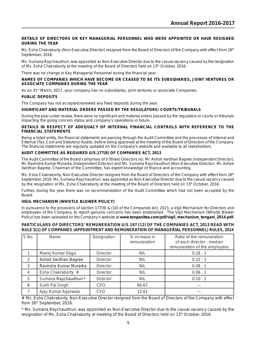# **DETAILS OF DIRECTORS OR KEY MANAGERIAL PERSONNEL WHO WERE APPOINTED OR HAVE RESIGNED DURING THE YEAR**

Ms. Esha Chakraborty (Non-Executive Director) resigned from the Board of Directors of the Company with effect from 26<sup>th</sup> September, 2016.

Ms. Sumana Raychaudhuri, was appointed as Non-Executive Director due to the casual vacancy caused by the resignation of Ms. Esha Chakraborty at the meeting of the Board of Directors held on 13th October, 2016.

There was no change in Key Managerial Personnel during the financial year.

## **NAMES OF COMPANIES WHICH HAVE BECOME OR CEASED TO BE ITS SUBSIDIARIES, JOINT VENTURES OR ASSOCIATE COMPANIES DURING THE YEAR**

As on 31<sup>st</sup> March, 2017, your company has no subsidiaries, joint ventures or associate Companies.

## **PUBLIC DEPOSITS**

The Company has not accepted/renewed any fixed deposits during the year.

## **SIGNIFICANT AND MATERIAL ORDERS PASSED BY THE REGULATORS/ COURTS/TRIBUNALS**

During the year under review, there were no significant and material orders passed by the regulators or courts or tribunals impacting the going concern status and company's operations in future.

#### **DETAILS IN RESPECT OF ADEQUACY OF INTERNAL FINANCIAL CONTROLS WITH REFERENCE TO THE FINANCIAL STATEMENTS**

Being a listed entity, the financial statements are passing through the Audit Committee and the processes of Internal and External (Tax, Cost and Statutory) Audits, before being approved at the meeting of the Board of Directors of the Company. The financial statements are regularly updated on the Company's website and available to all stakeholders.

# **AUDIT COMMITTEE AS REQUIRED U/S.177(8) OF COMPANIES ACT, 2013**

The Audit Committee of the Board comprises of 3 (three) Directors viz: Mr. Ashok Vardhan Bagree (Independent Director), Mr. Ravindra Kumar Murarka (Independent Director) and Ms. Sumana Raychaudhuri (Non-Executive Director). Mr. Ashok Vardhan Bagree, Chairman of the Committee, has expert knowledge of finance and accounting.

Ms. Esha Chakraborty, Non-Executive Director resigned from the Board of Directors of the Company with effect from 26<sup>th</sup> September, 2016. Ms. Sumana Raychaudhuri, was appointed as Non-Executive Director due to the casual vacancy caused by the resignation of Ms. Esha Chakraborty at the meeting of the Board of Directors held on 13<sup>th</sup> October, 2016.

Further, during the year there was no recommendation of the Audit Committee which had not been accepted by the Board.

# **VIGIL MECHANISM (WHISTLE BLOWER POLICY)**

In pursuance to the provisions of section 177(9) & (10) of the Companies Act, 2013, a Vigil Mechanism for Directors and employees of the Company, to report genuine concerns has been established. The Vigil Mechanism (Whistle Blower Policy) has been uploaded on the Company's website at **www.tonganitea.com/pdf/vigil\_mechanism\_tongani\_2014.pdf.**

# **PARTICULARS OF DIRECTORS' REMUNERATION U/S.197 (12) OF THE COMPANIES ACT, 2013 READ WITH RULE 5(1) OF COMPANIES (APPOINTMENT AND REMUNERATION OF MANAGERIAL PERSONNEL) RULES, 2014**

| S.No. | Name                   | Designation     | % increase in<br>remuneration | Ratio of the remuneration<br>of each director: median<br>remuneration of the employees |
|-------|------------------------|-----------------|-------------------------------|----------------------------------------------------------------------------------------|
|       | Manoj Kumar Daga       | <b>Director</b> | <b>NIL</b>                    | 0.26:1                                                                                 |
| 2     | Ashok Vardhan Bagree   | <b>Director</b> | <b>NIL</b>                    | 0.32:1                                                                                 |
| 3     | Ravindra Kumar Murarka | <b>Director</b> | <b>NIL</b>                    | 0.08:1                                                                                 |
| 4     | Esha Chakraborty #     | <b>Director</b> | <b>NIL</b>                    | 0.06:1                                                                                 |
| 5     | Sumana Raychaudhuri *  | <b>Director</b> | <b>NIL</b>                    | 0.10:1                                                                                 |
| 6     | Sukh Pal Singh         | <b>CEO</b>      | 66.67                         |                                                                                        |
|       | Ajay Kumar Agarwala    | CFO             | 12.61                         |                                                                                        |

# Ms. Esha Chakraborty, Non-Executive Director resigned from the Board of Directors of the Company with effect from 26th September, 2016.

\* Ms. Sumana Raychaudhuri, was appointed as Non-Executive Director due to the casual vacancy caused by the resignation of Ms. Esha Chakraborty at meeting of the Board of Directors held on 13th October, 2016.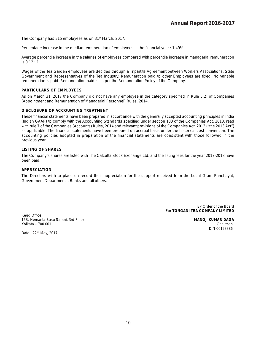The Company has 315 employees as on 31<sup>st</sup> March, 2017.

Percentage increase in the median remuneration of employees in the financial year : 1.49%

Average percentile increase in the salaries of employees compared with percentile increase in managerial remuneration  $iS \ 0.12 : 1.$ 

Wages of the Tea Garden employees are decided through a Tripartite Agreement between Workers Associations, State Government and Representatives of the Tea Industry. Remuneration paid to other Employees are fixed. No variable remuneration is paid. Remuneration paid is as per the Remuneration Policy of the Company.

## **PARTICULARS OF EMPLOYEES**

As on March 31, 2017 the Company did not have any employee in the category specified in Rule 5(2) of Companies (Appointment and Remuneration of Managerial Personnel) Rules, 2014.

# **DISCLOSURE OF ACCOUNTING TREATMENT**

These financial statements have been prepared in accordance with the generally accepted accounting principles in India (Indian GAAP) to comply with the Accounting Standards specified under section 133 of the Companies Act, 2013, read with rule 7 of the Companies (Accounts) Rules, 2014 and relevant provisions of the Companies Act, 2013 ("the 2013 Act") as applicable. The financial statements have been prepared on accrual basis under the historical cost convention. The accounting policies adopted in preparation of the financial statements are consistent with those followed in the previous year.

# **LISTING OF SHARES**

The Company's shares are listed with The Calcutta Stock Exchange Ltd. and the listing fees for the year 2017-2018 have been paid.

# **APPRECIATION**

The Directors wish to place on record their appreciation for the support received from the Local Gram Panchayat, Government Departments, Banks and all others.

> By Order of the Board For **TONGANI TEA COMPANY LIMITED**

Regd.Office : 15B, Hemanta Basu Sarani, 3rd Floor **MANOJ KUMAR DAGA** Kolkata – 700 001 *Chairman*

Date: 22<sup>nd</sup> May, 2017.

DIN 00123386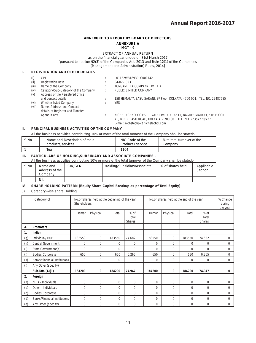#### **ANNEXURE TO REPORT BY BOARD OF DIRECTORS ANNEXURE A**

**MGT - 9**

EXTRACT OF ANNUAL RETURN as on the financial year ended on 31st March 2017 [pursuant to section 92(3) of the Companies Act, 2013 and Rule 12(1) of the Companies (Management and Administration) Rules, 2014]

# **I. REGISTRATION AND OTHER DETAILS**

| (i)   | CIN                                  |               | L01132WB1893PLC000742                                                                |
|-------|--------------------------------------|---------------|--------------------------------------------------------------------------------------|
| (ii)  | <b>Registration Date</b>             |               | 04-02-1893                                                                           |
| (iii) | Name of the Company                  | ٠             | TONGANI TEA COMPANY LIMITED                                                          |
| (iv)  | Category/Sub-Category of the Company | $\mathcal{L}$ | PUBLIC LIMITED COMPANY                                                               |
| (v)   | Address of the Registered office     |               |                                                                                      |
|       | and contact details                  | ÷             | 15B HEMANTA BASU SARANI, 3 <sup>rd</sup> Floor, KOLKATA - 700 001, TEL. NO. 22487685 |
| (vi)  | Whether listed Company               |               | YFS.                                                                                 |
| (vii) | Name, Address and Contact            |               |                                                                                      |
|       | details of Registrar and Transfer    |               |                                                                                      |
|       | Agent, if any.                       | ٠             | NICHE TECHNOLOGIES PRIVATE LIMITED, D-511, BAGREE MARKET, 5TH FLOOR                  |
|       |                                      |               | 71, B.R.B. BASU ROAD, KOLKATA - 700 001, TEL. NO. 22357270/7271                      |
|       |                                      |               | E-mail: nichetechpl@nichetechpl.com                                                  |

## **II. PRINCIPAL BUSINESS ACTIVITIES OF THE COMPANY**

All the business activities contributing 10% or more of the total turnover of the Company shall be stated:-

| S.No | Name and Description of main | NIC Code of the   | % to total turnover of the |
|------|------------------------------|-------------------|----------------------------|
|      | products/services            | Product / service | Company                    |
|      | Теа                          | 1104              |                            |

# **III. PARTICULARS OF HOLDING,SUBSIDIARY AND ASSOCIATE COMPANIES -**

All the business activities conributing 10% or more of the total turnover of the Company shall be stated:-

| S.No | Name and<br>Address of the<br>Companv | CIN/GLN | Holding/Subsidiary/Associate | % of shares held | Applicable<br>Section |
|------|---------------------------------------|---------|------------------------------|------------------|-----------------------|
|      | NIL                                   |         |                              |                  |                       |

#### **IV. SHARE HOLDING PATTERN (Equity Share Capital Breakup as percentage of Total Equity)**

#### (i) Category-wise share Holding

|     | Category of                         | No.of Shares held at the beginning of the year<br>Shareholders |              | No.of Shares held at the end of the year |                                  |          |          | % Change<br>during<br>the year |                                  |              |
|-----|-------------------------------------|----------------------------------------------------------------|--------------|------------------------------------------|----------------------------------|----------|----------|--------------------------------|----------------------------------|--------------|
|     |                                     | Demat                                                          | Physical     | Total                                    | $%$ of<br>Total<br><b>Shares</b> | Demat    | Physical | Total                          | $%$ of<br>Total<br><b>Shares</b> |              |
| Α.  | <b>Promoters</b>                    |                                                                |              |                                          |                                  |          |          |                                |                                  |              |
| 1.  | Indian                              |                                                                |              |                                          |                                  |          |          |                                |                                  |              |
| (g) | Individual/ HUF                     | 183550                                                         | $\mathbf{0}$ | 183550                                   | 74.682                           | 183550   | $\Omega$ | 183550                         | 74.682                           | $\Omega$     |
| (h) | <b>Central Government</b>           | $\Omega$                                                       | $\Omega$     | $\Omega$                                 | $\Omega$                         | $\Omega$ | $\Omega$ | 0                              | $\Omega$                         | $\Omega$     |
| (i) | State Government(s)                 | 0                                                              | $\Omega$     | $\Omega$                                 | $\Omega$                         | $\Omega$ | $\Omega$ | $\Omega$                       | $\Omega$                         | $\Omega$     |
| (i) | <b>Bodies Corporate</b>             | 650                                                            | $\Omega$     | 650                                      | 0.265                            | 650      | $\Omega$ | 650                            | 0.265                            | $\Omega$     |
| (k) | <b>Banks/Financial Institutions</b> | $\Omega$                                                       | $\Omega$     | $\Omega$                                 | $\Omega$                         | $\Omega$ | $\Omega$ | $\Omega$                       | $\Omega$                         | $\Omega$     |
| (1) | Any Other (specify)                 |                                                                |              |                                          |                                  |          |          |                                |                                  |              |
|     | Sub-Total(A)(1)                     | 184200                                                         | $\mathbf{0}$ | 184200                                   | 74.947                           | 184200   | $\bf{0}$ | 184200                         | 74.947                           | $\mathbf{0}$ |
| 2.  | Foreign                             |                                                                |              |                                          |                                  |          |          |                                |                                  |              |
| (a) | NRIs - Individuals                  | 0                                                              | $\Omega$     | $\Omega$                                 | $\mathbf 0$                      | $\Omega$ | $\Omega$ | 0                              | $\Omega$                         | $\Omega$     |
| (b) | Other - Individuals                 | 0                                                              | $\Omega$     | $\Omega$                                 | $\mathbf 0$                      | $\Omega$ | $\Omega$ | $\Omega$                       | $\Omega$                         | $\Omega$     |
| (c) | <b>Bodies Corporate</b>             | 0                                                              | $\Omega$     | $\Omega$                                 | $\Omega$                         | $\Omega$ | $\Omega$ | $\Omega$                       | $\Omega$                         | $\Omega$     |
| (d) | <b>Banks/Financial Institutions</b> | $\Omega$                                                       | $\Omega$     | $\Omega$                                 | $\Omega$                         | $\Omega$ | $\Omega$ | $\Omega$                       | $\Omega$                         | $\Omega$     |
| (e) | Any Other (specify)                 | 0                                                              | $\Omega$     | $\Omega$                                 | 0                                | $\Omega$ | $\Omega$ | $\Omega$                       | $\Omega$                         | $\Omega$     |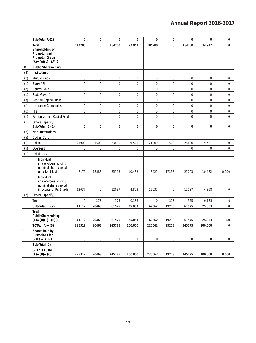|      | Sub-Total(A)(2)                                                                                     | 0                | 0            | $\bf{0}$         | $\bf{0}$         | $\bf{0}$     | 0              | 0                | 0                | 0                |
|------|-----------------------------------------------------------------------------------------------------|------------------|--------------|------------------|------------------|--------------|----------------|------------------|------------------|------------------|
|      | <b>Total</b><br>Shareholding of<br>Promoter and<br><b>Promoter Group</b><br>$(A) = (A)(1) + (A)(2)$ | 184200           | $\mathbf{0}$ | 184200           | 74.947           | 184200       | 0              | 184200           | 74.947           | 0                |
| В.   | <b>Public Shareholding</b>                                                                          |                  |              |                  |                  |              |                |                  |                  |                  |
| (1)  | <b>Institutions</b>                                                                                 |                  |              |                  |                  |              |                |                  |                  |                  |
| (a)  | Mutual funds                                                                                        | 0                | 0            | $\mathbf 0$      | $\boldsymbol{0}$ | 0            | 0              | 0                | 0                | $\boldsymbol{0}$ |
| (b)  | Banks/FI                                                                                            | $\overline{0}$   | $\mathbf 0$  | $\mathbf 0$      | $\mathbf 0$      | $\mathbf 0$  | 0              | $\mathbf 0$      | $\mathbf 0$      | $\mathbf 0$      |
| (c)  | Central Govt                                                                                        | $\overline{0}$   | $\mathbf 0$  | $\mathbf 0$      | $\mathbf 0$      | $\mathbf 0$  | $\overline{0}$ | $\mathbf 0$      | $\mathbf 0$      | $\mathbf 0$      |
| (d)  | State Govt(s)                                                                                       | $\overline{0}$   | $\mathbf 0$  | $\mathbf 0$      | $\mathbf 0$      | $\mathbf{0}$ | $\mathbf 0$    | $\boldsymbol{0}$ | $\boldsymbol{0}$ | $\mathbf 0$      |
| (e)  | Venture Capital Funds                                                                               | $\overline{0}$   | $\mathbf 0$  | $\mathbf 0$      | $\mathbf 0$      | $\mathbf{0}$ | $\Omega$       | $\mathbf 0$      | $\mathbf 0$      | $\mathbf 0$      |
| (f)  | <b>Insurance Companies</b>                                                                          | $\overline{0}$   | $\mathbf 0$  | $\mathbf{0}$     | $\mathbf 0$      | $\Omega$     | 0              | $\mathbf 0$      | $\mathbf 0$      | $\Omega$         |
| (g)  | Flls                                                                                                | $\overline{0}$   | $\mathbf 0$  | $\boldsymbol{0}$ | $\mathbf 0$      | $\mathbf{0}$ | $\mathbf 0$    | $\mathbf 0$      | $\mathbf 0$      | $\mathbf 0$      |
| (h)  | Foreign Venture Capital Funds                                                                       | $\boldsymbol{0}$ | $\mathbf 0$  | $\boldsymbol{0}$ | $\boldsymbol{0}$ | $\mathbf{0}$ | 0              | $\boldsymbol{0}$ | $\boldsymbol{0}$ | $\mathbf 0$      |
| (i)  | Others (specify)<br>Sub-Total (B)(1)                                                                | 0                | $\bf{0}$     | 0                | 0                | 0            | 0              | 0                | 0                | 0                |
| (2)  | <b>Non-Institutions</b>                                                                             |                  |              |                  |                  |              |                |                  |                  |                  |
| (a)  | <b>Bodies Corp</b>                                                                                  |                  |              |                  |                  |              |                |                  |                  |                  |
| (i)  | Indian                                                                                              | 21900            | 1500         | 23400            | 9.521            | 21900        | 1500           | 23400            | 9.521            | $\mathbf 0$      |
| (ii) | Overseas                                                                                            | 0                | 0            | 0                | 0                | 0            | 0              | 0                | 0                | $\mathbf 0$      |
| (b)  | Individuals                                                                                         |                  |              |                  |                  |              |                |                  |                  |                  |
|      | Individual<br>(i)<br>shareholders holding<br>nominal share capital<br>upto Rs.1 lakh                | 7175             | 18588        | 25763            | 10.482           | 8425         | 17338          | 25763            | 10.482           | 0.000            |
|      | (ii) Individual<br>shareholders holding<br>nominal share capital<br>in excess of Rs.1 lakh          | 12037            | $\mathbf 0$  | 12037            | 4.898            | 12037        | 0              | 12037            | 4.898            | 0                |
| (c)  | Others (specify)                                                                                    |                  |              |                  |                  |              |                |                  |                  |                  |
|      | Trust                                                                                               | $\overline{0}$   | 375          | 375              | 0.153            | $\mathbf{0}$ | 375            | 375              | 0.153            | 0                |
|      | Sub-Total (B)(2)                                                                                    | 41112            | 20463        | 61575            | 25.053           | 42362        | 19213          | 61575            | 25.053           | 0                |
|      | Total<br>PublicShareholding<br>$(B) = (B)(1) + (B)(2)$                                              | 41112            | 20463        | 61575            | 25.053           | 42362        | 19213          | 61575            | 25.053           | 0.0              |
|      | TOTAL $(A) + (B)$                                                                                   | 225312           | 20463        | 245775           | 100.000          | 226562       | 19213          | 245775           | 100.000          | 0                |
| c.   | Shares held by<br><b>Custodians for</b><br><b>GDRs &amp; ADRs</b>                                   | 0                | 0            | 0                | 0                | $\bf{0}$     | 0              | 0                | 0                | 0                |
|      | Sub-Total (C)                                                                                       |                  |              |                  |                  |              |                |                  |                  |                  |
|      | <b>GRAND TOTAL</b><br>$(A) + (B) + (C)$                                                             | 225312           | 20463        | 245775           | 100.000          | 226562       | 19213          | 245775           | 100.000          | 0.000            |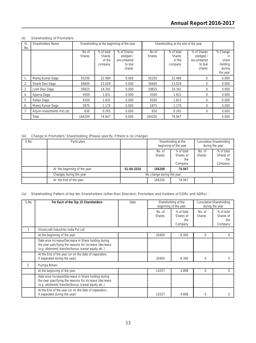# (ii) Shareholding of Promoters

| SI.<br>No.     | Shareholders Name          | Shareholding at the beginning of the year |                                                  |                                                             | Shareholding at the end of the year |                                                  |                                                             |                                                     |
|----------------|----------------------------|-------------------------------------------|--------------------------------------------------|-------------------------------------------------------------|-------------------------------------|--------------------------------------------------|-------------------------------------------------------------|-----------------------------------------------------|
|                |                            | No of<br><b>Shares</b>                    | % of total<br><b>Shares</b><br>of the<br>company | % of Shares<br>pledged /<br>encumbered<br>to toal<br>shares | No of<br><b>Shares</b>              | % of total<br><b>Shares</b><br>of the<br>company | % of Shares<br>pledged /<br>encumbered<br>to toal<br>shares | % Change<br>share<br>-holding<br>during<br>the year |
| $\mathbf{1}$ . | Manoj Kumar Daga           | 55250                                     | 22.480                                           | 0.000                                                       | 55250                               | 22.480                                           | $\Omega$                                                    | 0.000                                               |
| 2.             | Shanti Devi Daga           | 56600                                     | 23.029                                           | 0.000                                                       | 56600                               | 23.029                                           | $\Omega$                                                    | 0.000                                               |
| 3.             | Jyoti Devi Daga            | 59825                                     | 24.341                                           | 0.000                                                       | 59825                               | 24.341                                           | $\Omega$                                                    | 0.000                                               |
| 4.             | Aparna Daga                | 4500                                      | 1.831                                            | 0.000                                                       | 4500                                | 1.831                                            | $\Omega$                                                    | 0.000                                               |
| 5.             | Pallavi Daga               | 4500                                      | 1.831                                            | 0.000                                                       | 4500                                | 1.831                                            | $\Omega$                                                    | 0.000                                               |
| 6.             | Manoj Kumar Daga           | 2875                                      | 1.170                                            | 0.000                                                       | 2875                                | 1.170                                            | $\Omega$                                                    | 0.000                                               |
| 7.             | Anjum Investments Pvt.Ltd. | 650                                       | 0.265                                            | 0.000                                                       | 650                                 | 0.265                                            | $\Omega$                                                    | 0.000                                               |
|                | Total                      | 184200                                    | 74.947                                           | 0.000                                                       | 184200                              | 74.947                                           |                                                             | 0.000                                               |

#### (iii) Change in Promoters' Shareholding (Please specify, if there is no change)

| S.No | <b>Particulars</b>           |                           | Shareholding at the<br>beginning of the year |                                           |                         | <b>Cumulative Shareholding</b><br>during the year |
|------|------------------------------|---------------------------|----------------------------------------------|-------------------------------------------|-------------------------|---------------------------------------------------|
|      |                              |                           | No. of<br><b>Shares</b>                      | % of total<br>Shares of<br>the<br>Company | No. of<br><b>Shares</b> | % of total<br>Shares of<br>the<br>Company         |
|      | At the beginning of the year | 01-04-2016                | 184200                                       | 74.947                                    |                         |                                                   |
|      | Changes during the year      | No change during the year |                                              |                                           |                         |                                                   |
|      | At the End of the year       |                           | 184200                                       | 74.947                                    |                         |                                                   |

# (iv) Shareholding Pattern of top ten Shareholders (other than Directors, Promoters and Holders of GDRs and ADRs) :

| S.No             | For Each of the Top 10 Shareholders                                                                                                                                   | Date |                         | Shareholding at the<br>beginning of the year |                         | <b>Cumulative Shareholding</b><br>during the year |
|------------------|-----------------------------------------------------------------------------------------------------------------------------------------------------------------------|------|-------------------------|----------------------------------------------|-------------------------|---------------------------------------------------|
|                  |                                                                                                                                                                       |      | No. of<br><b>Shares</b> | % of total<br>Shares of<br>the<br>Company    | No. of<br><b>Shares</b> | % of total<br>Shares of<br>the<br>Company         |
|                  | Visioncraft Industries India Pvt Ltd                                                                                                                                  |      |                         |                                              |                         |                                                   |
|                  | At the beginning of the year                                                                                                                                          |      | 20400                   | 8.300                                        | $\Omega$                | 0                                                 |
|                  | Date wise Increase/Decrease in Share holding during<br>the year specifying the reasons for increase /decrease<br>(e.g. allotment/ transfer/bonus / sweat equity etc.) |      |                         |                                              |                         |                                                   |
|                  | At the End of the year (or on the date of separation,<br>if separated during the year)                                                                                |      | 20400                   | 8.300                                        | $\Omega$                | $\Omega$                                          |
| $\overline{2}$ . | Pushpa Bihani                                                                                                                                                         |      |                         |                                              |                         |                                                   |
|                  | At the beginning of the year                                                                                                                                          |      | 12037                   | 4.898                                        | $\Omega$                | $\Omega$                                          |
|                  | Date wise Increase/Decrease in Share holding during<br>the year specifying the reasons for increase /decrease<br>(e.g. allotment/ transfer/bonus / sweat equity etc.) |      |                         |                                              |                         |                                                   |
|                  | At the End of the year (or on the date of separation,<br>if separated during the year)                                                                                |      | 12037                   | 4.898                                        | $\Omega$                | $\Omega$                                          |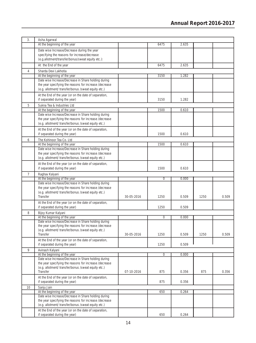| 3.             | Asha Agarwal                                                                        |            |              |       |      |       |
|----------------|-------------------------------------------------------------------------------------|------------|--------------|-------|------|-------|
|                | At the beginning of the year                                                        |            | 6475         | 2.635 |      |       |
|                | Date wise Increase/Decrease during the year                                         |            |              |       |      |       |
|                | specifying the reasons for increase/decrease                                        |            |              |       |      |       |
|                | (e.g.allotment/transfer/bonus/sweat equity etc.):                                   |            |              |       |      |       |
|                | At the End of the year                                                              |            | 6475         | 2.635 |      |       |
| 4              | Sharda Devi Lakhotia                                                                |            |              |       |      |       |
|                | At the beginning of the year                                                        |            | 3150         | 1.282 |      |       |
|                | Date wise Increase/Decrease in Share holding during                                 |            |              |       |      |       |
|                | the year specifying the reasons for increase /decrease                              |            |              |       |      |       |
|                | (e.g. allotment/ transfer/bonus / sweat equity etc.)                                |            |              |       |      |       |
|                | At the End of the year (or on the date of separation,                               |            |              |       |      |       |
|                | if separated during the year)                                                       |            | 3150         | 1.282 |      |       |
| 5              | Sukna Tea & Industries Ltd                                                          |            |              |       |      |       |
|                | At the beginning of the year                                                        |            | 1500         | 0.610 |      |       |
|                | Date wise Increase/Decrease in Share holding during                                 |            |              |       |      |       |
|                | the year specifying the reasons for increase /decrease                              |            |              |       |      |       |
|                | (e.g. allotment/ transfer/bonus / sweat equity etc.)                                |            |              |       |      |       |
|                | At the End of the year (or on the date of separation,                               |            |              |       |      |       |
|                | if separated during the year)                                                       |            | 1500         | 0.610 |      |       |
| 6              | The Kohinoor Tea Co. Ltd                                                            |            |              |       |      |       |
|                | At the beginning of the year                                                        |            | 1500         | 0.610 |      |       |
|                | Date wise Increase/Decrease in Share holding during                                 |            |              |       |      |       |
|                | the year specifying the reasons for increase /decrease                              |            |              |       |      |       |
|                | (e.g. allotment/ transfer/bonus / sweat equity etc.)                                |            |              |       |      |       |
|                |                                                                                     |            |              |       |      |       |
|                | At the End of the year (or on the date of separation,                               |            |              |       |      |       |
|                | if separated during the year)                                                       |            | 1500         | 0.610 |      |       |
| $\overline{7}$ | Raghav Kalyani                                                                      |            |              |       |      |       |
|                | At the beginning of the year                                                        |            | 0            | 0.000 |      |       |
|                | Date wise Increase/Decrease in Share holding during                                 |            |              |       |      |       |
|                | the year specifying the reasons for increase /decrease                              |            |              |       |      |       |
|                | (e.g. allotment/ transfer/bonus / sweat equity etc.)                                |            |              |       |      |       |
|                | Transfer                                                                            | 30-05-2016 | 1250         | 0.509 | 1250 | 0.509 |
|                | At the End of the year (or on the date of separation,                               |            |              |       |      |       |
|                | if separated during the year)                                                       |            | 1250         | 0.509 |      |       |
| 8              | Bijoy Kumar Kalyani                                                                 |            |              |       |      |       |
|                | At the beginning of the year                                                        |            | $\mathbf 0$  | 0.000 |      |       |
|                | Date wise Increase/Decrease in Share holding during                                 |            |              |       |      |       |
|                | the year specifying the reasons for increase /decrease                              |            |              |       |      |       |
|                | (e.g. allotment/ transfer/bonus / sweat equity etc.)<br>Transfer                    | 30-05-2016 | 1250         | 0.509 | 1250 | 0.509 |
|                |                                                                                     |            |              |       |      |       |
|                | At the End of the year (or on the date of separation,                               |            |              | 0.509 |      |       |
|                | if separated during the year)                                                       |            | 1250         |       |      |       |
| 9              | Avinash Kalyani                                                                     |            |              |       |      |       |
|                | At the beginning of the year<br>Date wise Increase/Decrease in Share holding during |            | $\mathbf{0}$ | 0.000 |      |       |
|                | the year specifying the reasons for increase /decrease                              |            |              |       |      |       |
|                | (e.g. allotment/ transfer/bonus / sweat equity etc.)                                |            |              |       |      |       |
|                | Transfer                                                                            | 07-10-2016 | 875          | 0.356 | 875  | 0.356 |
|                | At the End of the year (or on the date of separation,                               |            |              |       |      |       |
|                | if separated during the year)                                                       |            | 875          | 0.356 |      |       |
| 10             | Sanju Jain                                                                          |            |              |       |      |       |
|                | At the beginning of the year                                                        |            | 650          | 0.264 |      |       |
|                | Date wise Increase/Decrease in Share holding during                                 |            |              |       |      |       |
|                | the year specifying the reasons for increase /decrease                              |            |              |       |      |       |
|                | (e.g. allotment/ transfer/bonus / sweat equity etc.)                                |            |              |       |      |       |
|                | At the End of the year (or on the date of separation,                               |            |              |       |      |       |
|                | if separated during the year)                                                       |            | 650          | 0.264 |      |       |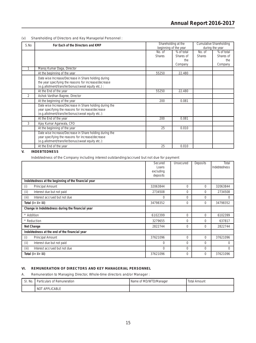| S.No           | For Each of the Directors and KMP                                                                                                                                  |                         | Shareholding at the<br>beginning of the year |                         | <b>Cumulative Shareholding</b><br>during the year |
|----------------|--------------------------------------------------------------------------------------------------------------------------------------------------------------------|-------------------------|----------------------------------------------|-------------------------|---------------------------------------------------|
|                |                                                                                                                                                                    | No. of<br><b>Shares</b> | % of total<br>Shares of<br>the<br>Company    | No. of<br><b>Shares</b> | % of total<br>Shares of<br>the<br>Company         |
|                | Manoj Kumar Daga, Director                                                                                                                                         |                         |                                              |                         |                                                   |
|                | At the beginning of the year                                                                                                                                       | 55250                   | 22.480                                       |                         |                                                   |
|                | Date wise Increase/Decrease in Share holding during<br>the year specifying the reasons for increase/decrease<br>(e.g.allotment/transfer/bonus/sweat equity etc.) : |                         |                                              |                         |                                                   |
|                | At the End of the year                                                                                                                                             | 55250                   | 22.480                                       |                         |                                                   |
| $\overline{2}$ | Ashok Vardhan Bagree, Director                                                                                                                                     |                         |                                              |                         |                                                   |
|                | At the beginning of the year                                                                                                                                       | 200                     | 0.081                                        |                         |                                                   |
|                | Date wise Increase/Decrease in Share holding during the<br>year specifying the reasons for increase/decrease<br>(e.g.allotment/transfer/bonus/sweat equity etc.):  |                         |                                              |                         |                                                   |
|                | At the End of the year                                                                                                                                             | 200                     | 0.081                                        |                         |                                                   |
| 3              | Ajay Kumar Agarwala, CFO                                                                                                                                           |                         |                                              |                         |                                                   |
|                | At the beginning of the year                                                                                                                                       | 25                      | 0.010                                        |                         |                                                   |
|                | Date wise Increase/Decrease in Share holding during the<br>year specifying the reasons for increase/decrease<br>(e.g.allotment/transfer/bonus/sweat equity etc.):  |                         |                                              |                         |                                                   |
|                | At the End of the year                                                                                                                                             | 25                      | 0.010                                        |                         |                                                   |

(v) Shareholding of Directors and Key Managerial Personnel :

**V. INDEBTEDNESS**

Indebtedness of the Company including interest outstanding/accrued but not due for payment

|                                                     | Secured<br>Loans      | Unsecured | <b>Deposits</b> | Total<br>Indebtedness |
|-----------------------------------------------------|-----------------------|-----------|-----------------|-----------------------|
|                                                     | excluding<br>deposits |           |                 |                       |
| Indebtedness at the beginning of the financial year |                       |           |                 |                       |
| (i)<br>Principal Amount                             | 32063844              | $\Omega$  | $\Omega$        | 32063844              |
| (ii)<br>Interest due but not paid                   | 2734508               | $\Omega$  | $\Omega$        | 2734508               |
| (iii)<br>Interest accrued but not due               | $\Omega$              | $\Omega$  | $\Omega$        | $\Omega$              |
| Total $(i+ii+iii)$                                  | 34798352              | $\Omega$  | $\Omega$        | 34798352              |
| Change in Indebtedness during the financial year    |                       |           |                 |                       |
| Addition                                            | 6102399               | $\Omega$  | $\Omega$        | 6102399               |
| Reduction                                           | 3279655               | $\Omega$  | $\Omega$        | 637817                |
| Net Change                                          | 2822744               | $\Omega$  | $\Omega$        | 2822744               |
| Indebtedness at the end of the financial year       |                       |           |                 |                       |
| (i)<br>Principal Amount                             | 37621096              | $\Omega$  | $\Omega$        | 37621096              |
| (ii)<br>Interest due but not paid                   | $\Omega$              | $\Omega$  | $\Omega$        | $\Omega$              |
| (iii)<br>Interest accrued but not due               | 0                     | $\Omega$  | $\Omega$        | $\Omega$              |
| Total $(i+ii+iii)$                                  | 37621096              | $\Omega$  | $\Omega$        | 37621096              |

# **VI. REMUNERATION OF DIRECTORS AND KEY MANAGERIAL PERSONNEL**

A. Remuneration to Managing Director, Whole-time directors and/or Manager :

| SI. No. | Particulars of Remuneration | Name of MD/WTD/Manager | <b>Total Amount</b> |
|---------|-----------------------------|------------------------|---------------------|
|         | NOT APPLICABLE              |                        |                     |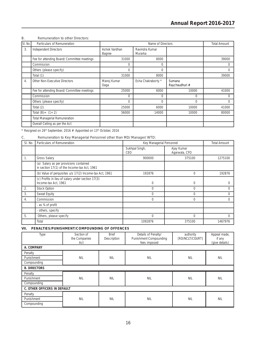B. Remuneration to other Directors:

| SI. No. | Particulars of Remuneration                 |                         | Name of Directors         |                          |       |  |
|---------|---------------------------------------------|-------------------------|---------------------------|--------------------------|-------|--|
| 3.      | <b>Independent Directors</b>                | Ashok Vardhan<br>Bagree | Ravindra Kumar<br>Murarka |                          |       |  |
|         | Fee for attending Board/ Committee meetings | 31000                   | 8000                      |                          | 39000 |  |
|         | Commission                                  |                         | $\Omega$                  |                          |       |  |
|         | Others (please specify)                     | $\Omega$                | 0                         |                          |       |  |
|         | Total (1)                                   | 31000                   | 8000                      |                          | 39000 |  |
| 4.      | Other Non-Executive Directors               | Manoj Kumar<br>Daga     | Esha Chakraborty *        | Sumana<br>Raychaudhuri # |       |  |
|         | Fee for attending Board/ Committee meetings | 25000                   | 6000                      | 10000                    | 41000 |  |
|         | Commission                                  | $\Omega$                | $\Omega$                  | $\Omega$                 | 0     |  |
|         | Others (please specify)                     | $\Omega$                | $\Omega$                  | $\Omega$                 | 0     |  |
|         | Total $(2)$                                 | 25000                   | 6000                      | 10000                    | 41000 |  |
|         | Total $(B) = (1 + 2)$                       | 56000                   | 14000                     | 10000                    | 80000 |  |
|         | <b>Total Managerial Remuneration</b>        |                         |                           |                          |       |  |
|         | Overall Ceiling as per the Act              |                         |                           |                          |       |  |

 $*$  Resigned on 26<sup>th</sup> September, 2016 # Appointed on 13<sup>th</sup> October, 2016

C. Remuneration to Key Managerial Personnel other than MD/ Manager/ WTD:

| SI. No. | Particulars of Remuneration                                                            |                       | Key Managerial Personnel    |         |  |
|---------|----------------------------------------------------------------------------------------|-----------------------|-----------------------------|---------|--|
|         |                                                                                        | Sukhpal Singh,<br>CEO | Ajay Kumar<br>Agarwala, CFO |         |  |
| 1.      | <b>Gross Salary</b>                                                                    | 900000                | 375100                      | 1275100 |  |
|         | (a) Salary as per provisions contained<br>in section 17(1) of the Income-tax Act, 1961 |                       |                             |         |  |
|         | (b) Value of perquisites u/s 17(2) Income-tax Act, 1961                                | 192876                | $\Omega$                    | 192876  |  |
|         | (c) Profits in lieu of salary under section 17(3)<br>Income-tax Act, 1961              | 0                     | $\Omega$                    |         |  |
| 2.      | <b>Stock Option</b>                                                                    | $\Omega$              | $\Omega$                    |         |  |
| 3.      | Sweat Equity                                                                           | $\Omega$              | $\Omega$                    | 0       |  |
| 4.      | Commission                                                                             | 0                     | $\Omega$                    |         |  |
|         | - as % of profit                                                                       |                       |                             |         |  |
|         | - others, specify                                                                      |                       |                             |         |  |
| 5.      | Others, please specify                                                                 | $\Omega$              | $\Omega$                    | 0       |  |
|         | Total                                                                                  | 1092876               | 375100                      | 1467976 |  |

**VII. PENALTIES/PUNISHMENT/COMPOUNDING OF OFFENCES**

| Type                         | Section of<br>the Companies<br>Act | <b>Brief</b><br>Description | Details of Penalty/<br>Punishment Compounding<br>fees imposed | authority<br>[RD/NCLT/COURT] | Appeal made,<br>if any<br>(give details) |
|------------------------------|------------------------------------|-----------------------------|---------------------------------------------------------------|------------------------------|------------------------------------------|
| A. COMPANY                   |                                    |                             |                                                               |                              |                                          |
| Penalty                      |                                    |                             |                                                               |                              |                                          |
| Punishment                   | <b>NIL</b>                         | <b>NIL</b>                  | <b>NIL</b>                                                    | <b>NIL</b>                   | <b>NIL</b>                               |
| Compounding                  |                                    |                             |                                                               |                              |                                          |
| <b>B. DIRECTORS</b>          |                                    |                             |                                                               |                              |                                          |
| Penalty                      |                                    |                             |                                                               |                              |                                          |
| Punishment                   | <b>NIL</b>                         | <b>NIL</b>                  | <b>NIL</b>                                                    | <b>NIL</b>                   | <b>NIL</b>                               |
| Compounding                  |                                    |                             |                                                               |                              |                                          |
| C. OTHER OFFICERS IN DEFAULT |                                    |                             |                                                               |                              |                                          |
| Penalty                      |                                    |                             |                                                               |                              |                                          |
| Punishment                   | <b>NIL</b>                         | <b>NIL</b>                  | <b>NIL</b>                                                    | <b>NIL</b>                   | <b>NIL</b>                               |
| Compounding                  |                                    |                             |                                                               |                              |                                          |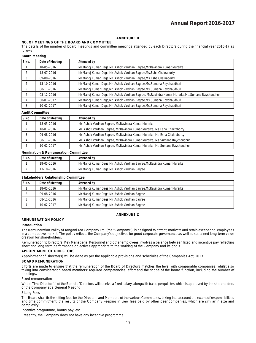# **ANNEXURE B**

#### **NO. OF MEETINGS OF THE BOARD AND COMMITTEE**

The details of the number of board meetings and committee meetings attended by each Directors during the financial year 2016-17 as follows :

|       | <b>Board Meeting</b> |                                                                                                     |  |  |  |  |
|-------|----------------------|-----------------------------------------------------------------------------------------------------|--|--|--|--|
| S.No. | Date of Meeting      | <b>Attended by</b>                                                                                  |  |  |  |  |
|       | 18-05-2016           | Mr.Manoj Kumar Daga, Mr. Ashok Vardhan Bagree, Mr. Ravindra Kumar Murarka                           |  |  |  |  |
|       | 18-07-2016           | Mr. Manoj Kumar Daga, Mr. Ashok Vardhan Bagree, Ms. Esha Chakraborty                                |  |  |  |  |
|       | 09-08-2016           | Mr.Manoj Kumar Daga, Mr. Ashok Vardhan Bagree, Ms. Esha Chakraborty                                 |  |  |  |  |
|       | 13-10-2016           | Mr.Manoj Kumar Daga, Mr. Ashok Vardhan Bagree, Ms.Sumana Raychaudhuri                               |  |  |  |  |
|       | 08-11-2016           | Mr.Manoj Kumar Daga, Mr. Ashok Vardhan Bagree, Ms.Sumana Raychaudhuri                               |  |  |  |  |
| 6     | 03-12-2016           | Mr. Manoj Kumar Daga, Mr. Ashok Vardhan Bagree, Mr. Ravindra Kumar Murarka, Ms. Sumana Raychaudhuri |  |  |  |  |
|       | 30-01-2017           | Mr.Manoj Kumar Daga, Mr. Ashok Vardhan Bagree, Ms.Sumana Raychaudhuri                               |  |  |  |  |
| 8     | 10-02-2017           | Mr.Manoj Kumar Daga, Mr. Ashok Vardhan Bagree, Ms.Sumana Raychaudhuri                               |  |  |  |  |

#### **Audit Committee**

| S.No. | Date of Meeting | <b>Attended by</b>                                                            |
|-------|-----------------|-------------------------------------------------------------------------------|
|       | 18-05-2016      | Mr. Ashok Vardhan Bagree, Mr. Ravindra Kumar Murarka                          |
|       | 18-07-2016      | Mr. Ashok Vardhan Bagree, Mr. Ravindra Kumar Murarka, Ms. Esha Chakraborty    |
|       | 09-08-2016      | Mr. Ashok Vardhan Bagree, Mr. Ravindra Kumar Murarka, Ms. Esha Chakraborty    |
|       | 08-11-2016      | Mr. Ashok Vardhan Bagree, Mr. Ravindra Kumar Murarka, Ms. Sumana Raychaudhuri |
|       | 10-02-2017      | Mr. Ashok Vardhan Bagree, Mr. Ravindra Kumar Murarka, Ms. Sumana Raychaudhuri |

#### **Nomination & Remuneration Committee**

| l S.No. | Date of Meeting | <b>Attended by</b>                                                     |
|---------|-----------------|------------------------------------------------------------------------|
|         | 18-05-2016      | Mr.Manoi Kumar Daga.Mr. Ashok Vardhan Bagree.Mr.Ravindra Kumar Murarka |
|         | 13-10-2016      | Mr.Manoj Kumar Daga, Mr. Ashok Vardhan Bagree                          |

# **Stakeholders Relationship Committee**

| ls.no. | Date of Meeting | <b>Attended by</b>                                                        |
|--------|-----------------|---------------------------------------------------------------------------|
|        | 18-05-2016      | Mr.Manoj Kumar Daga, Mr. Ashok Vardhan Bagree, Mr. Ravindra Kumar Murarka |
|        | 09-08-2016      | Mr.Manoj Kumar Daga, Mr. Ashok Vardhan Bagree                             |
|        | 08-11-2016      | Mr.Manoj Kumar Daga, Mr. Ashok Vardhan Bagree                             |
|        | 10-02-2017      | Mr.Manoj Kumar Daga, Mr. Ashok Vardhan Bagree                             |

#### **ANNEXURE C**

#### **REMUNERATION POLICY**

#### **Introduction**

The Remuneration Policy of Tongani Tea Company Ltd. (the "Company"), is designed to attract, motivate and retain exceptional employees in a competitive market. The policy reflects the Company's objectives for good corporate governance as well as sustained long-term value creation for shareholders.

Remuneration to Directors, Key Managerial Personnel and other employees involves a balance between fixed and incentive pay reflecting short and long term performance objectives appropriate to the working of the Company and its goals.

# **APPOINTMENT OF DIRECTORS**

Appointment of Director(s) will be done as per the applicable provisions and schedules of the Companies Act, 2013.

#### **BOARD REMUNERATION**

Efforts are made to ensure that the remuneration of the Board of Directors matches the level with comparable companies, whilst also taking into consideration board members' required competencies, effort and the scope of the board function, including the number of meetings.

#### Fixed remuneration

Whole Time Director(s) of the Board of Directors will receive a fixed salary, alongwith basic perquisites which is approved by the shareholders of the Company at a General Meeting.

#### Sitting Fees

The Board shall fix the sitting fees for the Directors and Members of the various Committees, taking into account the extent of responsibilities and time commitment, the results of the Company keeping in view fees paid by other peer companies, which are similar in size and complexity.

Incentive programme, bonus pay, etc.

Presently, the Company does not have any incentive programme.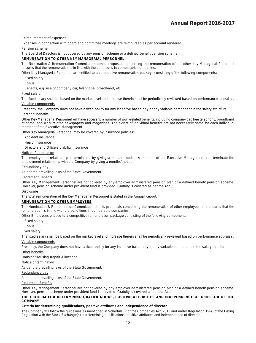#### Reimbursement of expenses

Expenses in connection with board and committee meetings are reimbursed as per account rendered.

#### Pension scheme

The Board of Directors is not covered by any pension scheme or a defined benefit pension scheme.

# **REMUNERATION TO OTHER KEY MANAGERIAL PERSONNEL**

The Nomination & Remuneration Committee submits proposals concerning the remuneration of the other Key Managerial Personnel ensures that the remuneration is in line with the conditions in comparable companies.

Other Key Managerial Personnel are entitled to a competitive remuneration package consisting of the following components:

- ·· Fixed salary
- ·· Bonus

·· Benefits, e.g. use of company car, telephone, broadband, etc.

#### Fixed salary

The fixed salary shall be based on the market level and increase therein shall be periodically reviewed based on performance appraisal.

#### Variable components

Presently, the Company does not have a fixed policy for any incentive based pay or any variable component in the salary structure.

### Personal benefits

Other Key Managerial Personnel will have access to a number of work-related benefits, including company car, free telephony, broadband at home, and work-related newspapers and magazines. The extent of individual benefits are not necessarily same for each individual member of the Executive Management.

Other Key Managerial Personnel may be covered by insurance policies:

- ·· Accident insurance
- ·· Health insurance
- ·· Directors and Officers Liability Insurance

#### Notice of termination

The employment relationship is terminable by giving a months' notice. A member of the Executive Management can terminate the employment relationship with the Company by giving a months' notice.

#### Redundancy pay

As per the prevailing laws of the State Government.

#### Retirement Benefits

Other Key Management Personnel are not covered by any employer administered pension plan or a defined benefit pension scheme. However, pension scheme under provident fund is provided. Gratuity is covered as per the Act.

#### **Disclosure**

The total remuneration of the Key Managerial Personnel is stated in the Annual Report.

#### **REMUNERATION TO OTHER EMPLOYEES**

The Nomination & Remuneration Committee submits proposals concerning the remuneration of other employees and ensures that the remuneration is in line with the conditions in comparable companies.

Other Employees entitled to a competitive remuneration package consisting of the following components:

·· Fixed salary

·· Bonus

#### Fixed salary

The fixed salary shall be based on the market level and increase therein shall be periodically reviewed based on performance appraisal. Variable components

Presently, the Company does not have a fixed policy for any incentive based pay or any variable component in the salary structure.

#### Other benefits

Housing/Housing Repair Allowance.

Notice of termination

As per the prevailing laws of the State Government.

#### Redundancy pay

As per the prevailing laws of the State Government.

#### Retirement Benefits

Other Key Management Personnel are not covered by any employer administered pension plan or a defined benefit pension scheme. However, pension scheme under provident fund is provided. Gratuity is covered as per the Act."

#### **THE CRITERIA FOR DETERMINING QUALIFICATIONS, POSITIVE ATTRIBUTES AND INDEPENDENCE OF DIRECTOR OF THE COMPANY**

#### **Criteria for determining qualifications, positive attributes and independence of director**

The Company will follow the guidelines as mentioned in Schedule IV of the Companies Act, 2013 and under Regulation 19(4) of the Listing Regulation with the Stock Exchange(s) in determining qualifications, positive attributes and independence of director.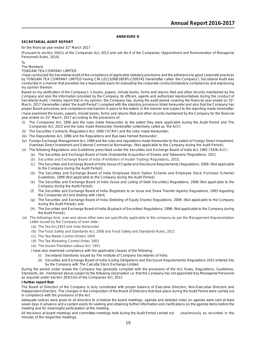# **ANNEXURE D**

# **SECRETARIAL AUDIT REPORT**

for the financial year ended 31st March 2017

*[Pursuant to section 204(1) of the Companies Act, 2013 and rule No.9 of the Companies (Appointment and Remuneration of Managerial Personnel) Rules, 2014]*

To

The Members

TONGANI TEA COMPANY LIMITED

I have conducted the Secretarial Audit of the compliance of applicable statutory provisions and the adherence to good corporate practices by TONGANI TEA COMPANY LIMITED having CIN L01132WB1893PLC000742 (hereinafter called 'the Company'). Secretarial Audit was conducted in a manner that provided me a reasonable basis for evaluating the corporate conducts/statutory compliances and expressing my opinion thereon.

Based on my verification of the Company's 's books, papers, minute books, forms and returns filed and other records maintained by the Company and also the information provided by the Company, its officers, agents and authorized representatives during the conduct of Secretarial Audit, I hereby report that in my opinion, the Company has, during the audit period covering the financial year ended on 31<sup>st</sup> March, 2017 (hereinafter called 'the Audit Period') complied with the statutory provisions listed hereunder and also that the Company has proper Board-processes and compliance-mechanism in place to the extent, in the manner and subject to the reporting made hereinafter. I have examined the books, papers, minute books, forms and returns filed and other records maintained by the Company for the financial year ended on 31<sup>st</sup> March, 2017 according to the provisions of:

- The Companies Act, 1956 and the rules made thereunder, to the extent they were applicable during the Audit Period and The Companies Act, 2013 and the rules made thereunder (hereinafter collectively called as 'the Act');
- (ii) The Securities Contracts (Regulation) Act, 1956 ('SCRA') and the rules made thereunder;
- (iii) The Depositories Act, 1996 and the Regulations and Bye-laws framed thereunder;
- (iv) Foreign Exchange Management Act, 1999 and the rules and regulations made thereunder to the extent of Foreign Direct Investment, Overseas Direct Investment and External Commercial Borrowings- (Not applicable to the Company during the Audit Period);
- (v) The following Regulations and Guidelines prescribed under the Securities and Exchange Board of India Act, 1992 ('SEBI Act'):-
	- (a) The Securities and Exchange Board of India (Substantial Acquisition of Shares and Takeovers) Regulations, 2011
	- (b) Securities and Exchange Board of India (Prohibition of Insider Trading) Regulations, 2015;
	- (c) The Securities and Exchange Board of India (Issue of Capital and Disclosure Requirements) Regulations, 2009- (Not applicable to the Company during the Audit Period);
	- (d) The Securities and Exchange Board of India (Employee Stock Option Scheme and Employee Stock Purchase Scheme) Guidelines, 1999 (Not applicable to the Company during the Audit Period);
	- (e) The Securities and Exchange Board of India (Issue and Listing of Debt Securities) Regulations, 2008 (Not applicable to the Company during the Audit Period);
	- (f) The Securities and Exchange Board of India (Registrars to an Issue and Share Transfer Agents) Regulations, 1993 regarding the Companies Act and dealing with client;
	- (g) The Securities and Exchange Board of India (Delisting of Equity Shares) Regulations, 2009- (Not applicable to the Company during the Audit Period); and
	- (h) The Securities and Exchange Board of India (Buyback of Securities) Regulations, 1998- (Not applicable to the Company during the Audit Period);

#### (vi) The followings Acts, over and above other laws are specifically applicable to the company as per the Management Representation Letter issued by the Company of even date:-

- (a) The Tea Act,1953 and rules thereunder
- (b) The Food Safety and Standards Act, 2006 and Food Safety and Standards Rules, 2011
- (c) The Tea Waste Control (Order) 1959
- (d) The Tea Marketing Control Order, 2003
- (e) The Assam Plantation Labour Act, 1951

I have also examined compliance with the applicable clauses of the following:

- (i) Secretarial Standards issued by The Institute of Company Secretaries of India.
- (ii) Securities and Exchange Board of India (Listing Obligations and Disclosure Requirements) Regulations 2015 entered into by the Company with The Calcutta Stock Exchange Limited

During the period under review the Company has generally complied with the provisions of the Act, Rules, Regulations, Guidelines, Standards, etc. mentioned above subject to the following observation i.e. that the Company has not appointed Key Managerial Personnel as required under Section 203(1)(ii) of the Companies Act, 2013.

#### **I further report that**

The Board of Directors of the Company is duly constituted with proper balance of Executive Directors, Non-Executive Directors and Independent Directors. The changes in the composition of the Board of Directors that took place during the Audit Period were carried out in compliance with the provisions of the Act.

Adequate notices were given to all directors to schedule the board meetings, agenda and detailed notes on agenda were sent at least seven days in advance and a system exists for seeking and obtaining further information and clarifications on the agenda items before the meeting and for meaningful participation at the meeting.

All decisions at board meetings and committee meetings held during the Audit Period carried out unanimously as recorded in the minutes of the respective meetings.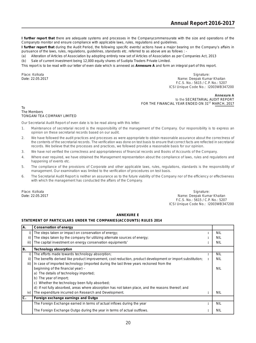**I further report that** there are adequate systems and processes in the Companycommensurate with the size and operations of the Companyto monitor and ensure compliance with applicable laws, rules, regulations and guidelines.

**I further report that** during the Audit Period, the following specific events/ actions have a major bearing on the Company's affairs in pursuance of the laws, rules, regulations, guidelines, standards etc. referred to as above are as follows : -

(a) Alteration of Articles of Association by adopting entirely new set of Articles of Association as per Companies Act, 2013

(b) Sale of current investment being 12,000 equity shares of Sudipta Traders Private Limited.

This report is to be read with our letter of even date which is annexed as **Annexure A** and form an integral part of this report.

Place: Kolkata Signature: Signature: Signature: Signature: Signature: Signature: Signature: Signature: Signature: Signature: Signature: Signature: Signature: Signature: Signature: Signature: Signature: Signature: Signature Date: 22.05.2017 Name: Deepak Kumar Khaitan F.C.S. No.: 5615 / C.P. No.: 5207 ICSI Unique Code No.: I2003WB347200

> **Annexure A** to the SECRETARIAL AUDIT REPORT FOR THE FINANCIAL YEAR ENDED ON 31ST MARCH, 2017

#### To The Members TONGANI TEA COMPANY LIMITED

Our Secretarial Audit Report of even date is to be read along with this letter.

- 1. Maintenance of secretarial record is the responsibility of the management of the Company. Our responsibility is to express an opinion on these secretarial records based on our audit.
- 2. We have followed the audit practices and processes as were appropriate to obtain reasonable assurance about the correctness of the contents of the secretarial records. The verification was done on test basis to ensure that correct facts are reflected in secretarial records. We believe that the processes and practices, we followed provide a reasonable basis for our opinion.
- 3. We have not verified the correctness and appropriateness of financial records and Books of Accounts of the Company.
- 4. Where ever required, we have obtained the Management representation about the compliance of laws, rules and regulations and happening of events etc.
- 5. The compliance of the provisions of Corporate and other applicable laws, rules, regulations, standards is the responsibility of management. Our examination was limited to the verification of procedures on test basis.
- 6. The Secretarial Audit Report is neither an assurance as to the future viability of the Company nor of the efficiency or effectiveness with which the management has conducted the affairs of the Company.

Place: Kolkata Signature: Signature: Signature: Signature: Signature: Signature: Signature: Signature: Signature: Signature: Signature: Signature: Signature: Signature: Signature: Signature: Signature: Signature: Signature Date: 22.05.2017 Name: Deepak Kumar Khaitan F.C.S. No.: 5615 / C.P. No.: 5207 ICSI Unique Code No.: I2003WB347200

#### **ANNEXURE E**

### **STATEMENT OF PARTICULARS UNDER THE COMPANIES(ACCOUNTS) RULES 2014**

| IA. | <b>Conservation of energy</b>                                                                              |            |
|-----|------------------------------------------------------------------------------------------------------------|------------|
|     | The steps taken or impact on conservation of energy;                                                       | <b>NIL</b> |
| ΪË  | The steps taken by the company for utilizing alternate sources of energy;                                  | <b>NIL</b> |
| iii | The capital investment on energy conservation equipments'                                                  | <b>NIL</b> |
| lв. | Technology absorption                                                                                      |            |
|     | The efforts made towards technology absorption;<br>٠                                                       | <b>NIL</b> |
| ii) | The benefits derived like product improvement, cost reduction, product development or import substitution; | NIL        |
| iii | In case of imported technology (imported during the last three years reckoned from the                     |            |
|     | beginning of the financial year) -                                                                         | <b>NIL</b> |
|     | a) The details of technology imported;                                                                     |            |
|     | b) The year of import;                                                                                     |            |
|     | c) Whether the technology been fully absorbed;                                                             |            |
|     | d) If not fully absorbed, areas where absorption has not taken place, and the reasons thereof; and         |            |
| iv) | The expenditure incurred on Research and Development.                                                      | NIL.       |
| Ic. | Foreign exchange earnings and Outgo                                                                        |            |
|     | The Foreign Exchange earned in terms of actual inflows during the year<br>٠                                | <b>NIL</b> |
|     | The Foreign Exchange Outgo during the year in terms of actual outflows.                                    | <b>NIL</b> |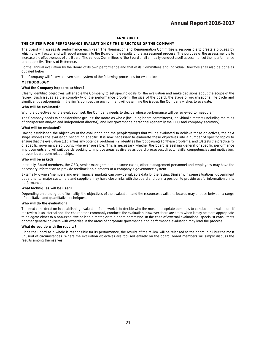# **ANNEXURE F**

#### **THE CRITERIA FOR PERFORMANCE EVALUATION OF THE DIRECTORS OF THE COMPANY**

The Board will assess its performance each year. The Nomination and Remuneration Committee is responsible to create a process by which this will occur and will report annually to the Board on the results of the assessment process. The purpose of the assessment is to increase the effectiveness of the Board. The various Committees of the Board shall annually conduct a self-assessment of their performance and respective Terms of Reference.

Formal annual evaluation by the Board of its own performance and that of its Committees and Individual Directors shall also be done as outlined below:

The Company will follow a seven step system of the following processes for evaluation:

#### **METHODOLOGY**

#### **What the Company hopes to achieve?**

Clearly identified objectives will enable the Company to set specific goals for the evaluation and make decisions about the scope of the review. Such issues as the complexity of the performance problem, the size of the board, the stage of organisational life cycle and significant developments in the firm's competitive environment will determine the issues the Company wishes to evaluate.

#### **Who will be evaluated?**

With the objectives for the evaluation set, the Company needs to decide whose performance will be reviewed to meet them.

The Company needs to consider three groups: the Board as whole (including board committees), individual directors (including the roles of chairperson and/or lead independent director), and key governance personnel (generally the CFO and company secretary).

#### **What will be evaluated?**

Having established the objectives of the evaluation and the people/groups that will be evaluated to achieve those objectives, the next stage involves the evaluation becoming specific. It is now necessary to elaborate these objectives into a number of specific topics to ensure that the evaluation (1) clarifies any potential problems, (2) identifies the root cause(s) of these problems, and (3) tests the practicality of specific governance solutions, wherever possible. This is necessary whether the board is seeking general or specific performance improvements and will suit boards seeking to improve areas as diverse as board processes, director skills, competencies and motivation, or even boardroom relationships.

#### **Who will be asked?**

Internally, Board members, the CEO, senior managers and, in some cases, other management personnel and employees may have the necessary information to provide feedback on elements of a company's governance system.

Externally, owners/members and even financial markets can provide valuable data for the review. Similarly, in some situations, government departments, major customers and suppliers may have close links with the board and be in a position to provide useful information on its performance.

#### **What techniques will be used?**

Depending on the degree of formality, the objectives of the evaluation, and the resources available, boards may choose between a range of qualitative and quantitative techniques.

#### **Who will do the evaluation?**

The next consideration in establishing evaluation framework is to decide who the most appropriate person is to conduct the evaluation. If the review is an internal one, the chairperson commonly conducts the evaluation. However, there are times when it may be more appropriate to delegate either to a non-executive or lead director, or to a board committee. In the case of external evaluations, specialist consultants or other general advisers with expertise in the areas of corporate governance and performance evaluation may lead the process.

#### **What do you do with the results?**

Since the Board as a whole is responsible for its performance, the results of the review will be released to the board in all but the most unusual of circumstances. Where the evaluation objectives are focused entirely on the board, board members will simply discuss the results among themselves.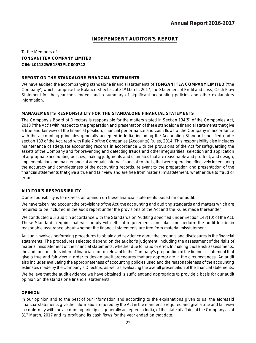# **INDEPENDENT AUDITOR'S REPORT**

# To the Members of **TONGANI TEA COMPANY LIMITED CIN: L01132WB1893PLC000742**

# **REPORT ON THE STANDALONE FINANCIAL STATEMENTS**

We have audited the accompanying standalone financial statements of **TONGANI TEA COMPANY LIMITED**,('the Company') which comprise the Balance Sheet as at 31<sup>st</sup> March, 2017, the Statement of Profit and Loss, Cash Flow Statement for the year then ended, and a summary of significant accounting policies and other explanatory information.

# **MANAGEMENT'S RESPONSIBILTY FOR THE STANDALONE FINANCIAL STATEMENTS**

The Company's Board of Directors is responsible for the matters stated in Section 134(5) of the Companies Act, 2013 ("the Act") with respect to the preparation and presentation of these standalone financial statements that give a true and fair view of the financial position, financial performance and cash flows of the Company in accordance with the accounting principles generally accepted in India, including the Accounting Standard specified under section 133 of the Act, read with Rule 7 of the Companies (Accounts) Rules, 2014. This responsibility also includes maintenance of adequate accounting records in accordance with the provisions of the Act for safeguarding the assets of the Company and for preventing and detecting frauds and other irregularities; selection and application of appropriate accounting policies; making judgments and estimates that are reasonable and prudent; and design, implementation and maintenance of adequate internal financial controls, that were operating effectively for ensuring the accuracy and completeness of the accounting records, relevant to the preparation and presentation of the financial statements that give a true and fair view and are free from material misstatement, whether due to fraud or error.

# **AUDITOR'S RESPONSIBILITY**

Our responsibility is to express an opinion on these financial statements based on our audit.

We have taken into account the provisions of the Act, the accounting and auditing standards and matters which are required to be included in the audit report under the provisions of the Act and the Rules made thereunder.

We conducted our audit in accordance with the Standards on Auditing specified under Section 143(10) of the Act. Those Standards require that we comply with ethical requirements and plan and perform the audit to obtain reasonable assurance about whether the financial statements are free from material misstatement.

An audit involves performing procedures to obtain audit evidence about the amounts and disclosures in the financial statements. The procedures selected depend on the auditor's judgment, including the assessment of the risks of material misstatement of the financial statements, whether due to fraud or error. In making those risk assessments, the auditor considers internal financial control relevant to the Company's preparation of the financial statement that give a true and fair view in order to design audit procedures that are appropriate in the circumstances. An audit also includes evaluating the appropriateness of accounting policies used and the reasonableness of the accounting estimates made by the Company's Directors, as well as evaluating the overall presentation of the financial statements.

We believe that the audit evidence we have obtained is sufficient and appropriate to provide a basis for our audit opinion on the standalone financial statements.

# **OPINION**

In our opinion and to the best of our information and according to the explanations given to us, the aforesaid financial statements give the information required by the Act in the manner so required and give a true and fair view in conformity with the accounting principles generally accepted in India, of the state of affairs of the Company as at 31<sup>st</sup> March, 2017 and its profit and its cash flows for the year ended on that date.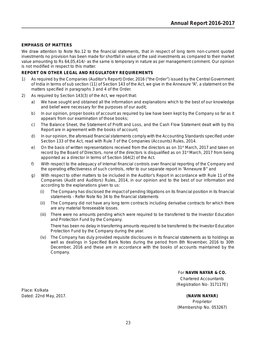# **EMPHASIS OF MATTERS**

We draw attention to Note No.12 to the financial statements, that in respect of long term non-current quoted investments no provision has been made for shortfall in value of the said investments as compared to their market value amounting to Rs 64,05,414/- as the same is temporary in nature as per management comment. Our opinion is not modified in respect to this matter.

# **REPORT ON OTHER LEGAL AND REGULATORY REQUIREMENTS**

- 1) As required by the Companies (Auditor's Report) Order, 2016 ("the Order") issued by the Central Government of India in terms of sub section (11) of Section 143 of the Act, we give in the Annexure "A", a statement on the matters specified in paragraphs 3 and 4 of the Order.
- 2) As required by Section 143(3) of the Act, we report that:
	- a) We have sought and obtained all the information and explanations which to the best of our knowledge and belief were necessary for the purposes of our audit;
	- b) In our opinion, proper books of account as required by law have been kept by the Company so far as it appears from our examination of those books;
	- c) The Balance Sheet, the Statement of Profit and Loss, and the Cash Flow Statement dealt with by this Report are in agreement with the books of account;
	- d) In our opinion, the aforesaid financial statements comply with the Accounting Standards specified under Section 133 of the Act, read with Rule 7 of the Companies (Accounts) Rules, 2014.
	- e) On the basis of written representations received from the directors as on 31<sup>st</sup> March, 2017 and taken on record by the Board of Directors, none of the directors is disqualified as on 31<sup>st</sup> March, 2017 from being appointed as a director in terms of Section 164(2) of the Act.
	- f) With respect to the adequacy of internal financial controls over financial reporting of the Company and the operating effectiveness of such controls, refer to our separate report in "Annexure B" and
	- g) With respect to other matters to be included in the Auditor's Report in accordance with Rule 11 of the Companies (Audit and Auditors) Rules, 2014, in our opinion and to the best of our information and according to the explanations given to us:
		- (i) The Company has disclosed the impact of pending litigations on its financial position in its financial statements - Refer Note No 34 to the financial statements
		- (ii) The Company did not have any long term contracts including derivative contracts for which there are any material foreseeable losses.
		- (iii) There were no amounts pending which were required to be transferred to the Investor Education and Protection Fund by the Company.

There has been no delay in transferring amounts required to be transferred to the Investor Education Protection Fund by the Company during the year.

(iv) The Company has duly provided requisite disclosures in its financial statements as to holdings as well as dealings in Specified Bank Notes during the period from 8th November, 2016 to 30th December, 2016 and these are in accordance with the books of accounts maintained by the Company.

> For **NAVIN NAYAR & CO.** Chartered Accountants (Registration No- 317117E)

Proprietor (Membership No. 053267)

Place: Kolkata Dated: 22nd May, 2017. **(NAVIN NAYAR)**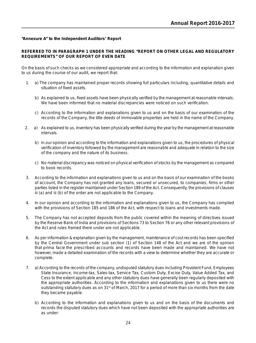# **"Annexure A" to the Independent Auditors' Report**

# **REFERRED TO IN PARAGRAPH 1 UNDER THE HEADING "REPORT ON OTHER LEGAL AND REGULATORY REQUIREMENTS" OF OUR REPORT OF EVEN DATE**

On the basis of such checks as we considered appropriate and according to the information and explanation given to us during the course of our audit, we report that:

- 1. a) The company has maintained proper records showing full particulars including, quantitative details and situation of fixed assets.
	- b) As explained to us, fixed assets have been physically verified by the management at reasonable intervals. We have been informed that no material discrepancies were noticed on such verification.
	- c) According to the information and explanations given to us and on the basis of our examination of the records of the Company, the title deeds of immovable properties are held in the name of the Company.
- 2. a) As explained to us, inventory has been physically verified during the year by the management at reasonable intervals.
	- b) In our opinion and according to the information and explanations given to us, the procedures of physical verification of inventory followed by the management are reasonable and adequate in relation to the size of the company and the nature of its business.
	- c) No material discrepancy was noticed on physical verification of stocks by the management as compared to book records.
- 3. According to the information and explanations given to us and on the basis of our examination of the books of account, the Company has not granted any loans, secured or unsecured, to companies, firms or other parties listed in the register maintained under Section 189 of the Act. Consequently, the provisions of clauses iii (a) and iii (b) of the order are not applicable to the Company.
- 4. In our opinion and according to the information and explanations given to us, the Company has complied with the provisions of Section 185 and 186 of the Act, with respect to loans and investments made.
- 5. The Company has not accepted deposits from the public covered within the meaning of directives issued by the Reserve Bank of India and provisions of Sections 73 to Section 76 or any other relevant provisions of the Act and rules framed there under are not applicable.
- 6. As per information & explanation given by the management, maintenance of cost records has been specified by the Central Government under sub section (1) of Section 148 of the Act and we are of the opinion that prima facie the prescribed accounts and records have been made and maintained. We have not however, made a detailed examination of the records with a view to determine whether they are accurate or complete.
- 7. a) According to the records of the company, undisputed statutory dues including Provident Fund, Employees State Insurance, Income-tax, Sales-tax, Service Tax, Custom Duty, Excise Duty, Value Added Tax, and Cess to the extent applicable and any other statutory dues have generally been regularly deposited with the appropriate authorities. According to the information and explanations given to us there were no outstanding statutory dues as on 31<sup>st</sup> of March, 2017 for a period of more than six months from the date they became payable.
	- b) According to the information and explanations given to us and on the basis of the documents and records the disputed statutory dues which have not been deposited with the appropriate authorities are as under: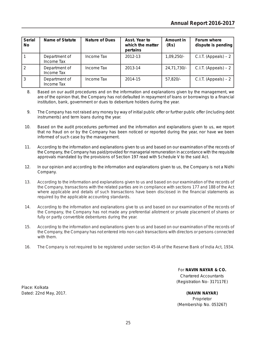| Serial<br>No. | Name of Statute             | Nature of Dues | Asst. Year to<br>which the matter<br>pertains | Amount in<br>(Rs) | Forum where<br>dispute is pending |
|---------------|-----------------------------|----------------|-----------------------------------------------|-------------------|-----------------------------------|
|               | Department of<br>Income Tax | Income Tax     | 2012-13                                       | $1,09,250/-$      | C.I.T. (Appeals) $-2$             |
| l 2           | Department of<br>Income Tax | Income Tax     | 2013-14                                       | 24,71,730/-       | $C.I.T.$ (Appeals) $-2$           |
| l 3           | Department of<br>Income Tax | Income Tax     | 2014-15                                       | 57.820/-          | C.I.T. (Appeals) $-2$             |

- 8. Based on our audit procedures and on the information and explanations given by the management, we are of the opinion that, the Company has not defaulted in repayment of loans or borrowings to a financial institution, bank, government or dues to debenture holders during the year.
- 9. The Company has not raised any money by way of initial public offer or further public offer (including debt instruments) and term loans during the year.
- 10. Based on the audit procedures performed and the information and explanations given to us, we report that no fraud on or by the Company has been noticed or reported during the year, nor have we been informed of such case by the management.
- 11. According to the information and explanations given to us and based on our examination of the records of the Company, the Company has paid/provided for managerial remuneration in accordance with the requisite approvals mandated by the provisions of Section 197 read with Schedule V to the said Act.
- 12. In our opinion and according to the information and explanations given to us, the Company is not a Nidhi Company.
- 13. According to the information and explanations given to us and based on our examination of the records of the Company, transactions with the related parties are in compliance with sections 177 and 188 of the Act where applicable and details of such transactions have been disclosed in the financial statements as required by the applicable accounting standards.
- 14. According to the information and explanations give to us and based on our examination of the records of the Company, the Company has not made any preferential allotment or private placement of shares or fully or partly convertible debentures during the year.
- 15. According to the information and explanations given to us and based on our examination of the records of the Company, the Company has not entered into non-cash transactions with directors or persons connected with them.
- 16. The Company is not required to be registered under section 45-IA of the Reserve Bank of India Act, 1934.

For **NAVIN NAYAR & CO.** Chartered Accountants (Registration No- 317117E)

Proprietor (Membership No. 053267)

Place: Kolkata Dated: 22nd May, 2017. **(NAVIN NAYAR)**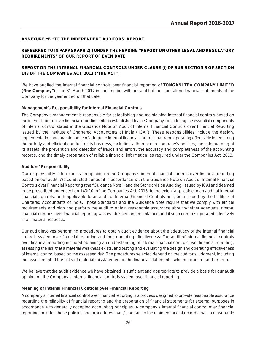# **ANNEXURE "B "TO THE INDEPENDENT AUDITORS' REPORT**

# **REFEERRED TO IN PARAGRAPH 2(f) UNDER THE HEADING "REPORT ON OTHER LEGAL AND REGULATORY REQUIREMENTS" OF OUR REPORT OF EVEN DATE**

# **REPORT ON THE INTERNAL FINANCIAL CONTROLS UNDER CLAUSE (i) OF SUB SECTION 3 OF SECTION 143 OF THE COMPANIES ACT, 2013 ("THE ACT")**

We have audited the internal financial controls over financial reporting of **TONGANI TEA COMPANY LIMITED ("the Company")** as of 31 March 2017 in conjunction with our audit of the standalone financial statements of the Company for the year ended on that date.

# **Management's Responsibility for Internal Financial Controls**

The Company's management is responsible for establishing and maintaining internal financial controls based on the internal control over financial reporting criteria established by the Company considering the essential components of internal control stated in the Guidance Note on Audit of Internal Financial Controls over Financial Reporting issued by the Institute of Chartered Accountants of India ('ICAI'). These responsibilities include the design, implementation and maintenance of adequate internal financial controls that were operating effectively for ensuring the orderly and efficient conduct of its business, including adherence to company's policies, the safeguarding of its assets, the prevention and detection of frauds and errors, the accuracy and completeness of the accounting records, and the timely preparation of reliable financial information, as required under the Companies Act, 2013.

# **Auditors' Responsibility**

Our responsibility is to express an opinion on the Company's internal financial controls over financial reporting based on our audit. We conducted our audit in accordance with the Guidance Note on Audit of Internal Financial Controls over Financial Reporting (the "Guidance Note") and the Standards on Auditing, issued by ICAI and deemed to be prescribed under section 143(10) of the Companies Act, 2013, to the extent applicable to an audit of internal financial controls, both applicable to an audit of Internal Financial Controls and, both issued by the Institute of Chartered Accountants of India. Those Standards and the Guidance Note require that we comply with ethical requirements and plan and perform the audit to obtain reasonable assurance about whether adequate internal financial controls over financial reporting was established and maintained and if such controls operated effectively in all material respects.

Our audit involves performing procedures to obtain audit evidence about the adequacy of the internal financial controls system over financial reporting and their operating effectiveness. Our audit of internal financial controls over financial reporting included obtaining an understanding of internal financial controls over financial reporting, assessing the risk that a material weakness exists, and testing and evaluating the design and operating effectiveness of internal control based on the assessed risk. The procedures selected depend on the auditor's judgment, including the assessment of the risks of material misstatement of the financial statements, whether due to fraud or error.

We believe that the audit evidence we have obtained is sufficient and appropriate to provide a basis for our audit opinion on the Company's internal financial controls system over financial reporting.

# **Meaning of Internal Financial Controls over Financial Reporting**

A company's internal financial control over financial reporting is a process designed to provide reasonable assurance regarding the reliability of financial reporting and the preparation of financial statements for external purposes in accordance with generally accepted accounting principles. A company's internal financial control over financial reporting includes those policies and procedures that (1) pertain to the maintenance of records that, in reasonable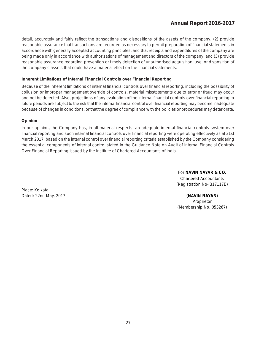detail, accurately and fairly reflect the transactions and dispositions of the assets of the company; (2) provide reasonable assurance that transactions are recorded as necessary to permit preparation of financial statements in accordance with generally accepted accounting principles, and that receipts and expenditures of the company are being made only in accordance with authorisations of management and directors of the company; and (3) provide reasonable assurance regarding prevention or timely detection of unauthorised acquisition, use, or disposition of the company's assets that could have a material effect on the financial statements.

# **Inherent Limitations of Internal Financial Controls over Financial Reporting**

Because of the inherent limitations of internal financial controls over financial reporting, including the possibility of collusion or improper management override of controls, material misstatements due to error or fraud may occur and not be detected. Also, projections of any evaluation of the internal financial controls over financial reporting to future periods are subject to the risk that the internal financial control over financial reporting may become inadequate because of changes in conditions, or that the degree of compliance with the policies or procedures may deteriorate.

# **Opinion**

In our opinion, the Company has, in all material respects, an adequate internal financial controls system over financial reporting and such internal financial controls over financial reporting were operating effectively as at 31st March 2017, based on the internal control over financial reporting criteria established by the Company considering the essential components of internal control stated in the Guidance Note on Audit of Internal Financial Controls Over Financial Reporting issued by the Institute of Chartered Accountants of India.

> For **NAVIN NAYAR & CO.** Chartered Accountants (Registration No- 317117E)

Place: Kolkata Dated: 22nd May, 2017. **(NAVIN NAYAR)**

Proprietor (Membership No. 053267)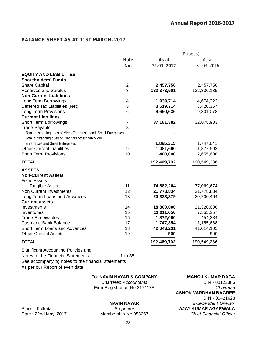# **BALANCE SHEET AS AT 31ST MARCH, 2017**

|                                                                   |                |             | (Rupees)    |
|-------------------------------------------------------------------|----------------|-------------|-------------|
|                                                                   | <b>Note</b>    | As at       | As at       |
|                                                                   | No.            | 31.03.2017  | 31.03.2016  |
| <b>EQUITY AND LIABILITIES</b>                                     |                |             |             |
| <b>Shareholders' Funds</b>                                        |                |             |             |
| <b>Share Capital</b>                                              | 2              | 2,457,750   | 2,457,750   |
| <b>Reserves and Surplus</b>                                       | 3              | 133,373,501 | 132,336,135 |
| <b>Non-Current Liabilities</b>                                    |                |             |             |
| Long Term Borrowings                                              | 4              | 1,939,714   | 4,674,222   |
| Deferred Tax Liabilities (Net)                                    | 5              | 3,519,714   | 3,420,367   |
| Long Term Provisions                                              | 6              | 9,650,636   | 9,301,078   |
| <b>Current Liabilities</b>                                        |                |             |             |
| <b>Short Term Borrowings</b>                                      | $\overline{7}$ | 37,181,382  | 32,078,983  |
| <b>Trade Payable</b>                                              | 8              |             |             |
| Total outstanding dues of Micro Enterprises and Small Enterprises |                |             |             |
| Total outstanding dues of Creditors other than Micro              |                |             |             |
| <b>Enterprises and Small Enterprises</b>                          |                | 1,865,315   | 1,747,641   |
| <b>Other Current Liabilities</b>                                  | 9              | 1,081,690   | 1,877,502   |
| <b>Short Term Provisions</b>                                      | 10             | 1,400,000   | 2,655,608   |
| <b>TOTAL</b>                                                      |                | 192,469,702 | 190,549,286 |
| <b>ASSETS</b>                                                     |                |             |             |
| <b>Non-Current Assets</b>                                         |                |             |             |
| <b>Fixed Assets</b>                                               |                |             |             |
| - Tangible Assets                                                 | 11             | 74,882,264  | 77,069,674  |
| Non Current Investments                                           | 12             | 21,778,834  | 21,778,834  |
| Long Term Loans and Advances                                      | 13             | 20,333,379  | 20,200,464  |
| <b>Current assets</b>                                             |                |             |             |
| Investments                                                       | 14             | 18,800,000  | 21,320,000  |
| Inventories                                                       | 15             | 11,011,650  | 7,555,257   |
| <b>Trade Receivables</b>                                          | 16             | 1,872,090   | 454,384     |
| Cash and Bank Balance                                             | 17             | 1,747,354   | 1,155,668   |
| Short Term Loans and Advances                                     | 18             | 42,043,231  | 41,014,105  |
| <b>Other Current Assets</b>                                       | 19             | 900         | 900         |
| <b>TOTAL</b>                                                      |                | 192,469,702 | 190,549,286 |
| Significant Accounting Policies and                               |                |             |             |
| Notes to the Financial Statements                                 | 1 to 38        |             |             |

See accompanying notes to the financial statements

As per our Report of even date

# For **NAVIN NAYAR & COMPANY** MANOJ KUMAR DAGA

Firm Registration No.317117E

**Chartered Accountants Chartered Accountants DIN** - 00123386<br> **Chairman Chairman ASHOK VARDHAN BAGREE** DIN - 00421623 **NAVIN NAYAR** *Independent Director* Place : Kolkata *Proprietor* **AJAY KUMAR AGARWALA**

Date : 22nd May, 2017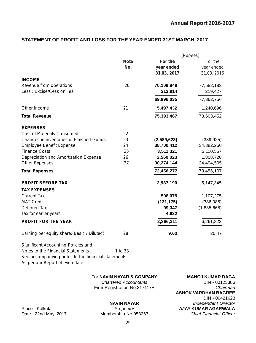# **STATEMENT OF PROFIT AND LOSS FOR THE YEAR ENDED 31ST MARCH, 2017**

|                                                     |                    | (Rupees)                            |                                     |  |
|-----------------------------------------------------|--------------------|-------------------------------------|-------------------------------------|--|
|                                                     | <b>Note</b><br>No. | For the<br>year ended<br>31.03.2017 | For the<br>year ended<br>31.03.2016 |  |
| <b>INCOME</b>                                       |                    |                                     |                                     |  |
| Revenue from operations<br>Less: Excise/Cess on Tea | 20                 | 70,109,949<br>213,914               | 77,582,183<br>219,427               |  |
|                                                     |                    | 69,896,035                          | 77,362,756                          |  |
| Other Income                                        | 21                 | 5,497,432                           | 1,240,696                           |  |
| <b>Total Revenue</b>                                |                    | 75,393,467                          | 78,603,452                          |  |
| <b>EXPENSES</b>                                     |                    |                                     |                                     |  |
| Cost of Materials Consumed                          | 22                 |                                     |                                     |  |
| Changes in inventories of Finished Goods            | 23                 | (2,589,623)                         | (339, 925)                          |  |
| Employee Benefit Expense                            | 24                 | 38,700,412                          | 34,382,250                          |  |
| <b>Finance Costs</b>                                | 25                 | 3,511,321                           | 3,110,557                           |  |
| Depreciation and Amortization Expense               | 26                 | 2,560,023                           | 1,808,720                           |  |
| Other Expenses                                      | 27                 | 30,274,144                          | 34,494,505                          |  |
| <b>Total Expenses</b>                               |                    | 72,456,277                          | 73,456,107                          |  |
| <b>PROFIT BEFORE TAX</b>                            |                    | 2,937,190                           | 5,147,345                           |  |
| <b>TAX EXPENSES</b>                                 |                    |                                     |                                     |  |
| <b>Current Tax</b>                                  |                    | 598,075                             | 1,107,275                           |  |
| <b>MAT Credit</b>                                   |                    | (131, 175)                          | (386, 085)                          |  |
| Deferred Tax                                        |                    | 99,347                              | (1,835,668)                         |  |
| Tax for earlier years                               |                    | 4,632                               |                                     |  |
| <b>PROFIT FOR THE YEAR</b>                          |                    | 2,366,311                           | 6,261,823                           |  |
| Earning per equity share: (Basic / Diluted)         | 28                 | 9.63                                | 25.47                               |  |
| Significant Accounting Policies and                 |                    |                                     |                                     |  |
| Notes to the Financial Statements                   | 1 to 38            |                                     |                                     |  |

See accompanying notes to the financial statements

As per our Report of even date

# For **NAVIN NAYAR & COMPANY** MANOJ KUMAR DAGA<br>Chartered Accountants **MANOJ KUMAR DAGA**

Firm Registration No.317117E

**Chartered Accountants Chartered Accountants DIN** - 00123386<br> **Chairman Chairman ASHOK VARDHAN BAGREE** DIN - 00421623 **NAVIN NAYAR** *Independent Director* Place : Kolkata *Proprietor* **AJAY KUMAR AGARWALA**

Date : 22nd May, 2017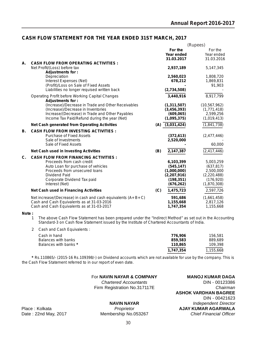# **CASH FLOW STATEMENT FOR THE YEAR ENDED 31ST MARCH, 2017**

|             |                                                                                                 | (Rupees) |                           |                          |
|-------------|-------------------------------------------------------------------------------------------------|----------|---------------------------|--------------------------|
|             |                                                                                                 |          | For the                   | For the                  |
|             |                                                                                                 |          | Year ended<br>31.03.2017  | Year ended<br>31.03.2016 |
| Α.          | <b>CASH FLOW FROM OPERATING ACTIVITIES:</b>                                                     |          |                           |                          |
|             | Net Profit/(Loss) before tax<br>Adjustments for:                                                |          | 2,937,189                 | 5,147,345                |
|             | Depreciation                                                                                    |          | 2,560,023                 | 1,808,720                |
|             | Interest Expenses (Net)                                                                         |          | 678,212                   | 1,869,831                |
|             | (Profit)/Loss on Sale of Fixed Assets                                                           |          |                           | 91,903                   |
|             | Liabilities no longer requised written back                                                     |          | (2,734,508)               |                          |
|             | Operating Profit before Working Capital Changes<br>Adjustments for:                             |          | 3.440.916                 | 8,917,799                |
|             | (Increase)/Decrease in Trade and Other Receivables                                              |          | (1,311,507)               | (10, 567, 962)           |
|             | (Increase)/Decrease in Inventories                                                              |          | (3,456,393)               | (1, 771, 418)            |
|             | Increase/(Decrease) in Trade and Other Payables<br>Income Tax Paid/Refund during the year (Net) |          | (609, 065)<br>(1,095,375) | 2,599,256<br>(1,019,413) |
|             |                                                                                                 |          |                           |                          |
|             | Net Cash generated from Operating Activities                                                    | (A)      | (3,031,424)               | (1,841,738)              |
| <b>B.</b>   | <b>CASH FLOW FROM INVESTING ACTIVITIES:</b>                                                     |          |                           |                          |
|             | Purchase of Fixed Assets                                                                        |          | (372, 613)                | (2,477,446)              |
|             | Sale of Investments<br>Sale of Fixed Assets                                                     |          | 2,520,000                 | 60,000                   |
|             |                                                                                                 |          |                           |                          |
|             | Net Cash used in Investing Activities                                                           | (B)      | 2,147,387                 | (2, 417, 446)            |
| $C_{\cdot}$ | <b>CASH FLOW FROM FINANCING ACTIVITIES:</b>                                                     |          |                           |                          |
|             | Proceeds from cash credit                                                                       |          | 6,103,399                 | 5,003,259                |
|             | Auto Loan for purchase of vehicles<br>Proceeds from unsecured loans                             |          | (545, 147)<br>(1,000,000) | (637, 817)<br>2,500,000  |
|             | Dividend Paid                                                                                   |          | (2, 207, 916)             | (2, 220, 488)            |
|             | Corporate Dividend Tax paid                                                                     |          | (198, 351)                | (176, 920)               |
|             | Interest (Net)                                                                                  |          | (676, 262)                | (1,870,308)              |
|             | Net Cash used in Financing Activities                                                           | (C)      | 1,475,723                 | 2,597,726                |
|             | Net increase/(Decrease) in cash and cash equivalents $(A + B + C)$                              |          | 591,686                   | (1,661,458)              |
|             | Cash and Cash Equivalents as at 31-03-2016                                                      |          | 1,155,668                 | 2,817,126                |
|             | Cash and Cash Equivalents as at 31-03-2017                                                      |          | 1,747,354                 | 1,155,668                |
|             |                                                                                                 |          |                           |                          |

**Note :**

1 The above Cash Flow Statement has been prepared under the "Indirect Method" as set out in the Accounting Standard-3 on Cash flow Statement issued by the Institute of Chartered Accountants of India.

2 Cash and Cash Equivalents :

| Cash in hand          | 776.906   | 156.581   |
|-----------------------|-----------|-----------|
| Balances with banks   | 859,583   | 889.689   |
| Balances with banks * | 110,865   | 109,398   |
|                       | 1,747,354 | 1.155.668 |

**\*** Rs.110865/- (2015-16 Rs.109398/-) on Dividend accounts which are not available for use by the company. This is the Cash Flow Statement referred to in our report of even date.

# For **NAVIN NAYAR & COMPANY** MANOJ KUMAR DAGA

Firm Registration No.317117E

**Chartered Accountants Chartered Accountants DIN - 00123386**<br>m Registration No.317117F **ASHOK VARDHAN BAGREE** DIN - 00421623 **NAVIN NAYAR** *Independent Director* Place : Kolkata *Proprietor* **AJAY KUMAR AGARWALA**

Date : 22nd May, 2017 Membership No.053267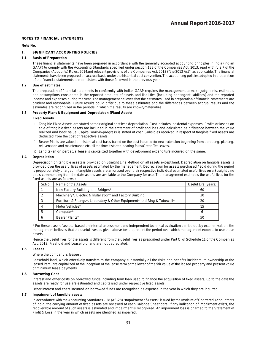# **NOTES TO FINANCIAL STATEMENTS**

#### **Note No.**

## **1. SIGNIFICANT ACCOUNTING POLICIES**

#### **1.1 Basis of Preparation**

These financial statements have been prepared in accordance with the generally accepted accounting principles in India (Indian GAAP) to comply with the Accounting Standards specified under section 133 of the Companies Act, 2013, read with rule 7 of the Companies (Accounts) Rules, 2014and relevant provisions of the Companies Act, 2013 ("the 2013 Act") as applicable. The financial statements have been prepared on accrual basis under the historical cost convention. The accounting policies adopted in preparation of the financial statements are consistent with those followed in the previous year.

#### **1.2 Use of estimates**

The preparation of financial statements in conformity with Indian GAAP requires the management to make judgments, estimates and assumptions considered in the reported amounts of assets and liabilities (including contingent liabilities) and the reported income and expenses during the year. The management believes that the estimates used in preparation of financial statements are prudent and reasonable. Future results could differ due to these estimates and the differences between accrual results and the estimates are recognized in the periods in which the results are known/materialize.

#### **1.3 Property Plant & Equipment and Depreciation (Fixed Asset)**

#### **Fixed Assets**

- i) Tangible Fixed Assets are stated at their original cost less depreciation. Cost includes incidental expenses. Profits or losses on sale of tangible fixed assets are included in the statement of profit and loss and calculated as difference between the value realized and book value. Capital work-in-progress is stated at cost. Subsidies received in respect of tangible fixed assets are deducted from the cost of respective assets.
- ii) Bearer Plants are valued on historical cost basis based on the cost incurred for new extension beginning from uprooting, planting, rejuvenation and maintenance etc. till the time it started bearing fruits/Green Tea leaves.
- iii) Land taken on perpetual lease is capitalized together with development expenditure incurred on the same.

#### **1.4 Depreciation**

Depreciation on tangible assets is provided on Straight Line Method on all assets except land. Depreciation on tangible assets is provided over the useful lives of assets estimated by the management. Depreciation for assets purchased / sold during the period is proportionately charged. Intangible assets are amortised over their respective individual estimated useful lives on a Straight Line basis commencing from the date assets are available to the Company for use. The management estimates the useful lives for the fixed assets are as follows :

| Sr.No. | Name of the Assets                                                        | Useful Life (years) |
|--------|---------------------------------------------------------------------------|---------------------|
|        | Non-Factory Building and Bridges*                                         | 60                  |
|        | Machinery*, Electric & Installation* and Factory Building                 | 30                  |
|        | Furniture & Fittings*, Laboratory & Other Equipment* and Ring & Tubewell* | 20                  |
|        | Motor Vehicles*                                                           | 15                  |
| 5      | Computer*                                                                 |                     |
|        | Bearer Plants*                                                            | 50                  |

\* For these class of assets, based on internal assessment and independent technical evaluation carried out by external valuers the management believes that the useful lives as given above best represent the period over which management expects to use these assets.

Hence the useful lives for the assets is different from the useful lives as prescribed under Part C of Schedule 11 of the Companies Act, 2013. Freehold and Leasehold land are not depreciated.

#### **1.5 Leases**

Where the company is lessee :

Leasehold land, which effectively transfers to the company substantially all the risks and benefits incidental to ownership of the leased item, are capitalized at the inception of the lease term at the lower of the fair value of the leased property and present value of minimum lease payments.

#### **1.6 Borrowing Cost**

Interest and other costs on borrowed funds including term loan used to finance the acquisition of fixed assets, up to the date the assets are ready for use are estimated and capitalised under respective fixed assets.

Other interest and costs incurred on borrowed funds are recognised as expense in the year in which they are incurred.

#### **1.7 Impairment of tangible assets**

In accordance with the Accounting Standards – 28 (AS-28) "Impairment of Assets" issued by the Institute of Chartered Accountants of India, the carrying amount of fixed assets are reviewed at each Balance Sheet date. If any indication of impairment exists, the recoverable amount of such assets is estimated and impairment is recognized. An impairment loss is charged to the Statement of Profit & Loss in the year in which assets are identified as impaired.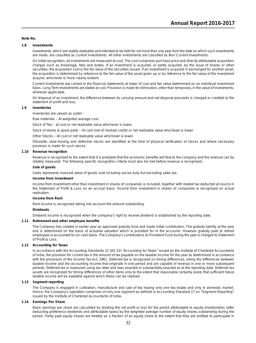#### **Note No.**

#### **1.8 Investments**

Investments, which are readily realizable and intended to be held for not more than one year from the date on which such investments are made, are classified as current investments. All other investments are classified as Non Current Investments.

On initial recognition, all investments are measured at cost. The cost comprises purchase price and directly attributable acquisition charges such as brokerage, fees and duties. If an investment is acquired, or partly acquired, by the issue of shares or other securities, the acquisition cost is the fair value of the securities issued. If an investment is acquired in exchanged for another asset, the acquisition is determined by reference to the fair value of the asset given up or by reference to the fair value of the investment acquire, whichever is more clearly evident.

Current investments are carried in the financial statements at lower of cost and fair value determined on an individual investment basis. Long Term Investments are stated at cost. Provision is made for diminution, other than temporary, in the value of investments, wherever applicable.

On disposal of an investment, the difference between its carrying amount and net disposal proceeds is charged or credited to the statement of profit and loss.

#### **1.9 Inventories**

Inventories are valued as under :

Raw materials – At weighted average cost.

Stock of Tea – at cost or net realisable value whichever is lower.

Stock of stores & spare parts – At cost (net of modvat credit) or net realizable value whichever is lower.

Other Stocks – At cost or net realisable value whichever is lower.

Obsolete, slow-moving and defective stocks are identified at the time of physical verification of stocks and where necessary provision is made for such stocks.

#### **1.10 Revenue recognition**

Revenue is recognized to the extent that it is probable that the economic benefits will flow to the company and the revenue can be reliably measured. The following specific recognition criteria must also be met before revenue is recognized :

#### **Sale of goods**

Sales represents invoiced value of goods sold including excise duty but excluding sales tax.

#### **Income from Investment**

Income from Investment other than investment in shares of companies is included, together with related tax deducted at source in the Statement of Profit & Loss on an accrual basis. Income from investment in shares of companies is recognized on actual realisation.

#### **Income from Rent**

Rent income is recognized taking into account the amount outstanding.

#### **Dividends**

Dividend income is recognized when the company's right to receive dividend is established by the reporting date.

#### **1.11 Retirement and other employee benefits**

The Company has created in earlier year an approved gratuity fund and made initial contribution. The gratuity liability at the year end is determined on the basis of actuarial valuation which is provided for in the accounts. However gratuity paid to retired employees is accounted for on cash basis. The Company's contributions to Provident Fund during the year is charged to Statement of Profit & Loss.

#### **1.12 Accounting for Taxes**

In accordance with the Accounting Standards 22 (AS-22) "Accounting for Taxes" issued by the Institute of Chartered Accountants of India, the provision for current tax is the amount of tax payable on the taxable income for the year as determined in accordance with the provisions of the Income Tax Act, 1961. Deferred tax is recognized on timing differences, being the differences between taxable income and the accounting income that originate in one period and are capable of reversal in one or more subsequent periods. Deferred tax is measured using tax rates and laws enacted or substantially enacted as at the reporting date. Deferred tax assets are recognized for timing differences of other items only to the extent that reasonable certainty exists that sufficient future taxable income will be available against which these can be realized.

#### **1.13 Segment reporting**

The Company is engaged in cultivation, manufacture and sale of tea having only one tea estate and only in domestic market. Hence, the Company's operation comprises of only one segment as defined in Accounting Standard 17 on "Segment Reporting" issued by the Institute of Chartered Accountants of India.

#### **1.14 Earnings Per Share**

Basic earnings per share are calculated by dividing the net profit or loss for the period attributable to equity shareholders (after deducting preference dividends and attributable taxes) by the weighted average number of equity shares outstanding during the period. Partly paid equity shares are treated as a fraction of an equity share to the extent that they are entitled to participate in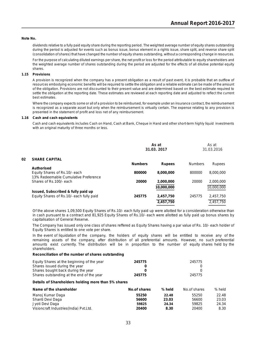#### **Note No.**

dividends relative to a fully paid equity share during the reporting period. The weighted average number of equity shares outstanding during the period is adjusted for events such as bonus issue, bonus element in a rights issue, share split, and reverse share split (consolidation of shares) that have changed the number of equity shares outstanding, without a corresponding change in resources.

For the purpose of calculating diluted earnings per share, the net profit or loss for the period attributable to equity shareholders and the weighted average number of shares outstanding during the period are adjusted for the effects of all dilutive potential equity shares.

#### **1.15 Provisions**

A provision is recognized when the company has a present obligation as a result of past event, it is probable that an outflow of resources embodying economic benefits will be required to settle the obligation and a reliable estimate can be made of the amount of the obligation. Provisions are not discounted to their present value and are determined based on the best estimate required to settle the obligation at the reporting date. These estimates are reviewed at each reporting date and adjusted to reflect the current best estimates.

Where the company expects some or all of a provision to be reimbursed, for example under an insurance contract, the reimbursement is recognized as a separate asset but only when the reimbursement is virtually certain. The expense relating to any provision is presented in the statement of profit and loss net of any reimbursement.

#### **1.16 Cash and cash equivalents**

Cash and cash equivalents includes Cash on Hand, Cash at Bank, Cheque in Hand and other short-term highly liquid investments with an original maturity of three months or less.

|    |                                          | As at<br>31.03.2017 |               | As at<br>31.03.2016 |            |
|----|------------------------------------------|---------------------|---------------|---------------------|------------|
| 02 | <b>SHARE CAPITAL</b>                     |                     |               |                     |            |
|    |                                          | <b>Numbers</b>      | <b>Rupees</b> | <b>Numbers</b>      | Rupees     |
|    | Authorised                               |                     |               |                     |            |
|    | Equity Shares of Rs.10/- each            | 800000              | 8,000,000     | 800000              | 8.000.000  |
|    | 13% Redeemable Cumulative Preference     |                     |               |                     |            |
|    | Shares of Rs.100/- each                  | 20000               | 2,000,000     | 20000               | 2.000.000  |
|    |                                          |                     | 10,000,000    |                     | 10,000,000 |
|    | Issued, Subscribed & fully paid up       |                     |               |                     |            |
|    | Equity Shares of Rs.10/- each fully paid | 245775              | 2.457.750     | 245775              | 2.457.750  |
|    |                                          |                     |               |                     |            |
|    |                                          |                     | 2,457,750     |                     | 2,457,750  |

Of the above shares 1,09,500 Equity Shares of Rs.10/- each fully paid up were allotted for a consideration otherwise than in cash pursuant to a contract and 81,925 Equity Shares of Rs.10/- each were allotted as fully paid up bonus shares by capitalisation of General Reserve.

The Company has issued only one class of shares reffered as Equity Shares having a par value of Rs. 10/- each holder of Equity Shares is entitled to one vote per share.

In the event of liquidation of the company, the holders of equity shares will be entitled to receive any of the remaining assets of the company, after distribution of all preferential amounts. However, no such preferential amounts exist currently. The distribution will be in proportion to the number of equity shares held by the shareholders.

#### **Reconciliation of the number of shares outstanding**

| Equity Shares at the beginning of the year | 245775 | 245775 |
|--------------------------------------------|--------|--------|
| Shares issued during the year              |        |        |
| Shares bought back during the year         |        |        |
| Shares outstanding at the end of the year  | 245775 | 245775 |

**Details of Shareholders holding more than 5% shares**

| Name of the shareholder                | No.of shares | % held | No.of shares | % held |
|----------------------------------------|--------------|--------|--------------|--------|
| Manoj Kumar Daga                       | 55250        | 22.48  | 55250        | 22.48  |
| Shanti Devi Daga                       | 56600        | 23.03  | 56600        | 23.03  |
| Jyoti Devi Daga                        | 59825        | 24.34  | 59825        | 24.34  |
| Visioncraft Industries(India) Pvt.Ltd. | 20400        | 8.30   | 20400        | 8.30   |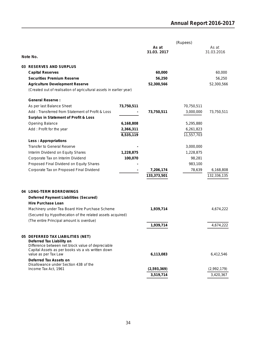|                                                                                                         |            |             | (Rupees)   |             |
|---------------------------------------------------------------------------------------------------------|------------|-------------|------------|-------------|
|                                                                                                         |            | As at       |            | As at       |
|                                                                                                         |            | 31.03.2017  |            | 31.03.2016  |
| Note No.                                                                                                |            |             |            |             |
| 03 RESERVES AND SURPLUS                                                                                 |            |             |            |             |
| <b>Capital Reserves</b>                                                                                 |            | 60,000      |            | 60,000      |
| <b>Securities Premium Reserve</b>                                                                       |            | 56,250      |            | 56,250      |
| <b>Agriculture Development Reserve</b>                                                                  |            | 52,300,566  |            | 52,300,566  |
| (Created out of realisation of agricultural assets in earlier year)                                     |            |             |            |             |
| <b>General Reserve:</b>                                                                                 |            |             |            |             |
| As per last Balance Sheet                                                                               | 73,750,511 |             | 70,750,511 |             |
| Add: Transferred from Statement of Profit & Loss                                                        |            | 73,750,511  | 3,000,000  | 73,750,511  |
| Surplus in Statement of Profit & Loss                                                                   |            |             |            |             |
| Opening Balance                                                                                         | 6,168,808  |             | 5,295,880  |             |
| Add: Profit for the year                                                                                | 2,366,311  |             | 6,261,823  |             |
|                                                                                                         | 8,535,119  |             | 11,557,703 |             |
| Less: Appropriations                                                                                    |            |             |            |             |
| Transfer to General Reserve                                                                             |            |             | 3,000,000  |             |
| Interim Dividend on Equity Shares                                                                       | 1,228,875  |             | 1,228,875  |             |
| Corporate Tax on Interim Dividend                                                                       | 100,070    |             | 98,281     |             |
| Proposed Final Dividend on Equity Shares                                                                |            |             | 983,100    |             |
| Corporate Tax on Proposed Final Dividend                                                                |            | 7,206,174   | 78,639     | 6,168,808   |
|                                                                                                         |            | 133,373,501 |            | 132,336,135 |
|                                                                                                         |            |             |            |             |
| 04 LONG-TERM BORROWINGS                                                                                 |            |             |            |             |
| Deferred Payment Liabilities (Secured)                                                                  |            |             |            |             |
| Hire Purchase Loan                                                                                      |            |             |            |             |
| Machinery under Tea Board Hire Purchase Scheme                                                          |            | 1,939,714   |            | 4,674,222   |
| (Secured by Hypothecation of the related assets acquired)                                               |            |             |            |             |
| (The entire Principal amount is overdue)                                                                |            | 1,939,714   |            | 4,674,222   |
|                                                                                                         |            |             |            |             |
| 05 DEFERRED TAX LIABILITIES (NET)                                                                       |            |             |            |             |
| Deferred Tax Liability on                                                                               |            |             |            |             |
| Difference between net block value of depreciable<br>Capital Assets as per books vis a vis written down |            |             |            |             |
| value as per Tax Law                                                                                    |            | 6,113,083   |            | 6,412,546   |
| Deferred Tax Assets on                                                                                  |            |             |            |             |
| Disallowance under Section 43B of the                                                                   |            |             |            |             |
| Income Tax Act, 1961                                                                                    |            | (2,593,369) |            | (2,992,179) |
|                                                                                                         |            | 3,519,714   |            | 3,420,367   |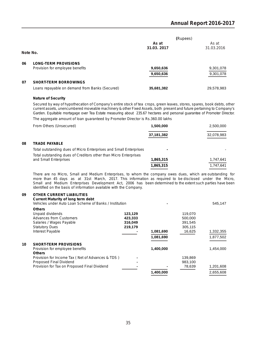|          |                                                | (Rupees)   |            |  |
|----------|------------------------------------------------|------------|------------|--|
|          |                                                | As at      | As at      |  |
|          |                                                | 31.03.2017 | 31.03.2016 |  |
| Note No. |                                                |            |            |  |
| 06       | <b>LONG-TERM PROVISIONS</b>                    |            |            |  |
|          | Provision for employee benefits                | 9,650,636  | 9,301,078  |  |
|          |                                                | 9,650,636  | 9,301,078  |  |
| 07       | <b>SHORT TERM BORROWINGS</b>                   |            |            |  |
|          | Loans repayable on demand from Banks (Secured) | 35,681,382 | 29,578,983 |  |

#### **Nature of Security**

08

Secured by way of hypothecation of Company's entire stock of tea crops, green leaves, stores, spares, book debts, other current assets, unencumbered moveable machinery & other Fixed Assets, both present and future pertaining to Company's Garden. Equitable mortagage over Tea Estate measuring about 235.67 hectares and personal guarantee of Promoter Director.

The aggregate amount of loan guaranteed by Promoter Director is Rs.360.00 lakhs

| From Others (Unsecured)                                           | 1,500,000  | 2,500,000  |
|-------------------------------------------------------------------|------------|------------|
|                                                                   | 37,181,382 | 32,078,983 |
| <b>TRADE PAYABLE</b>                                              |            |            |
| Total outstanding dues of Micro Enterprises and Small Enterprises |            |            |
| Total outstanding dues of Creditors other than Micro Enterprises  |            |            |
| and Small Enterprises                                             | 1,865,315  | 1.747.641  |
|                                                                   | 1,865,315  | 1.747.641  |

There are no Micro, Small and Medium Enterprises, to whom the company owes dues, which are outstanding for more than 45 days as at 31st March, 2017. This information as required to be disclosed under the Micro, Small and Medium Enterprises Development Act, 2006 has been determined to the extent such parties have been identified on the basis of information available with the Company.

# **09 OTHER CURRENT LIABILITIES**

**Current Maturity of long term debt** Vehicles under Auto Loan Scheme of Banks / Institution **-** 545,147

|    | venius unuel Auto Logii Juliene of Danis / Institution |         |           |         | ، ۱۶۲     |
|----|--------------------------------------------------------|---------|-----------|---------|-----------|
|    | <b>Others</b>                                          |         |           |         |           |
|    | Unpaid dividends                                       | 123,129 |           | 119.070 |           |
|    | <b>Advances from Customers</b>                         | 423,333 |           | 500,000 |           |
|    | Salaries / Wages Payable                               | 316,049 |           | 391,545 |           |
|    | <b>Statutory Dues</b>                                  | 219,179 |           | 305,115 |           |
|    | Interest Payable                                       |         | 1,081,690 | 16,625  | 1,332,355 |
|    |                                                        |         | 1,081,690 |         | 1,877,502 |
| 10 | SHORT TERM PROVISIONS                                  |         |           |         |           |
|    | Provision for employee benefits                        |         | 1,400,000 |         | 1,454,000 |
|    | <b>Others</b>                                          |         |           |         |           |
|    | Provision for Income Tax (Net of Advances & TDS)       |         |           | 139,869 |           |
|    | Proposed Final Dividend                                |         |           | 983.100 |           |
|    | Provision for Tax on Proposed Final Dividend           |         |           | 78,639  | 1,201,608 |
|    |                                                        |         | 1,400,000 |         | 2,655,608 |
|    |                                                        |         |           |         |           |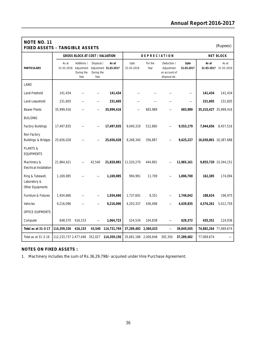| <b>NOTE NO. 11</b><br>(Rupees)<br>FIXED ASSETS - TANGIBLE ASSETS |                               |                                                            |                                  |                                |                      |                     |                                                             |                    |                       |                                |
|------------------------------------------------------------------|-------------------------------|------------------------------------------------------------|----------------------------------|--------------------------------|----------------------|---------------------|-------------------------------------------------------------|--------------------|-----------------------|--------------------------------|
|                                                                  |                               | <b>GROSS BLOCK AT COST / VALUATION</b>                     |                                  |                                |                      | <b>DEPRECIATION</b> |                                                             |                    |                       | <b>NET BLOCK</b>               |
| <b>PARTICULARS</b>                                               | As at                         | Additions /<br>31-03-2016 Adjustment<br>During the<br>Year | Disposal /<br>During the<br>Year | As at<br>Adjustment 31.03.2017 | Upto<br>31-03-2016   | For the<br>Year     | Deduction /<br>Adjustment<br>on account of<br>disposal etc. | Upto<br>31.03.2017 | As at                 | As at<br>31-03-2017 31-03-2016 |
| LAND                                                             |                               |                                                            |                                  |                                |                      |                     |                                                             |                    |                       |                                |
| Land-Freehold                                                    | 141,434                       |                                                            |                                  | 141,434                        |                      |                     |                                                             |                    | 141,434               | 141,434                        |
| Land-Leasehold                                                   | 231,605                       |                                                            |                                  | 231,605                        |                      |                     |                                                             |                    | 231,605               | 231,605                        |
| <b>Bearer Plants</b>                                             | 35,999,416                    |                                                            |                                  | 35,999,416                     |                      | 683,989             |                                                             | 683,989            | 35,315,427 35,999,416 |                                |
| <b>BUILDING</b>                                                  |                               |                                                            |                                  |                                |                      |                     |                                                             |                    |                       |                                |
| <b>Factory Buildings</b>                                         | 17,497,835                    |                                                            |                                  | 17,497,835                     | 9,040,319            | 512,860             |                                                             | 9,553,179          | 7,944,656             | 8,457,516                      |
| Non Factory<br><b>Buildings &amp; Bridges</b>                    | 25,656,028                    |                                                            |                                  | 25,656,028                     | 9,268,340            | 356,887             |                                                             | 9,625,227          | 16,030,801 16,387,688 |                                |
| PLANTS &<br><b>EQUIPMENTS</b>                                    |                               |                                                            |                                  |                                |                      |                     |                                                             |                    |                       |                                |
| Machinery &<br><b>Electrical Installation</b>                    | 21,864,421                    |                                                            | 43,540                           | 21,820,881                     | 11,520,270           | 444,891             |                                                             | 11,965,161         |                       | 9,855,720 10,344,151           |
| Ring & Tubewell,<br>Laboratory &<br>Other Equipments             | 1,169,085                     |                                                            |                                  | 1,169,085                      | 994,991              | 11,709              |                                                             | 1,006,700          | 162,385               | 174,094                        |
| Furniture & Fixtures                                             | 1,934,666                     |                                                            |                                  | 1,934,666                      | 1,737,691            | 8,351               |                                                             | 1,746,042          | 188,624               | 196,975                        |
| Vehicles                                                         | 9,216,096                     |                                                            |                                  | 9,216,096                      | 4,203,337            | 436,498             |                                                             | 4,639,835          | 4,576,261             | 5,012,759                      |
| OFFICE EUIPMENTS                                                 |                               |                                                            |                                  |                                |                      |                     |                                                             |                    |                       |                                |
| Computer                                                         | 648,570                       | 416,153                                                    |                                  | 1,064,723                      | 524,534              | 104,838             |                                                             | 629,372            | 435,351               | 124,036                        |
| Total as at 31-3-17                                              | 114,359,156                   | 416,153                                                    | 43,540                           | 114,731,769                    | 37,289,482 2,560,023 |                     | $\overline{\phantom{0}}$                                    | 39,849,505         | 74,882,264 77,069,674 |                                |
| Total as at 31-3-16                                              | 112,233,737 2,477,446 352,027 |                                                            |                                  | 114,359,156                    | 35,681,186 2,000,646 |                     | 392,350                                                     | 37,289,482         | 77,069,674            |                                |

# **NOTES ON FIXED ASSETS :**

1. Machinery includes the sum of Rs.36,29,798/- acquired under Hire Purchase Agreement.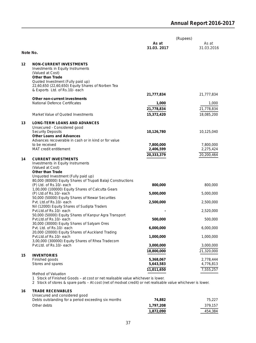|    |                                                                                                                                                                                                                                                                                                        | (Rupees)   |            |
|----|--------------------------------------------------------------------------------------------------------------------------------------------------------------------------------------------------------------------------------------------------------------------------------------------------------|------------|------------|
|    |                                                                                                                                                                                                                                                                                                        | As at      | As at      |
|    | Note No.                                                                                                                                                                                                                                                                                               | 31.03.2017 | 31.03.2016 |
|    |                                                                                                                                                                                                                                                                                                        |            |            |
| 12 | <b>NON-CURRENT INVESTMENTS</b>                                                                                                                                                                                                                                                                         |            |            |
|    | Investments in Equity Instruments                                                                                                                                                                                                                                                                      |            |            |
|    | (Valued at Cost)                                                                                                                                                                                                                                                                                       |            |            |
|    | Other than Trade                                                                                                                                                                                                                                                                                       |            |            |
|    | Quoted Investment (Fully paid up)                                                                                                                                                                                                                                                                      |            |            |
|    | 22,60,650 (22,60,650) Equity Shares of Norben Tea                                                                                                                                                                                                                                                      |            |            |
|    | & Exports Ltd. of Rs.10/- each                                                                                                                                                                                                                                                                         |            |            |
|    | Other non-current investments                                                                                                                                                                                                                                                                          | 21,777,834 | 21,777,834 |
|    | National Defence Certificates                                                                                                                                                                                                                                                                          | 1,000      | 1,000      |
|    |                                                                                                                                                                                                                                                                                                        |            |            |
|    |                                                                                                                                                                                                                                                                                                        | 21,778,834 | 21,778,834 |
|    | Market Value of Quoted Investments                                                                                                                                                                                                                                                                     | 15,372,420 | 18,085,200 |
| 13 | <b>LONG-TERM LOANS AND ADVANCES</b>                                                                                                                                                                                                                                                                    |            |            |
|    | Unsecured - Considered good                                                                                                                                                                                                                                                                            |            |            |
|    | <b>Security Deposits</b>                                                                                                                                                                                                                                                                               | 10,126,780 | 10,125,040 |
|    | <b>Other Loans and Advances</b>                                                                                                                                                                                                                                                                        |            |            |
|    | Advances recoverable in cash or in kind or for value                                                                                                                                                                                                                                                   |            |            |
|    | to be received                                                                                                                                                                                                                                                                                         | 7,800,000  | 7,800,000  |
|    | MAT credit entitlement                                                                                                                                                                                                                                                                                 | 2,406,599  | 2,275,424  |
|    |                                                                                                                                                                                                                                                                                                        | 20.333.379 | 20.200.464 |
| 14 | <b>CURRENT INVESTMENTS</b>                                                                                                                                                                                                                                                                             |            |            |
|    | Investments in Equity Instruments<br>(Valued at Cost)                                                                                                                                                                                                                                                  |            |            |
|    | Other than Trade                                                                                                                                                                                                                                                                                       |            |            |
|    | Unquoted Investment (Fully paid up)                                                                                                                                                                                                                                                                    |            |            |
|    | 80,000 (80000) Equity Shares of Trupati Balaji Constructions                                                                                                                                                                                                                                           |            |            |
|    | (P) Ltd. of Rs.10/- each                                                                                                                                                                                                                                                                               | 800,000    | 800,000    |
|    | 1,00,000 (100000) Equity Shares of Calcutta Gears                                                                                                                                                                                                                                                      |            |            |
|    | (P) Ltd.of Rs.10/- each                                                                                                                                                                                                                                                                                | 5,000,000  | 5,000,000  |
|    | 50,000 (50000) Equity Shares of Newar Securities                                                                                                                                                                                                                                                       |            |            |
|    | Pvt. Ltd.of Rs.10/- each<br>Nil (12000) Equity Shares of Sudipta Traders                                                                                                                                                                                                                               | 2,500,000  | 2,500,000  |
|    | Pvt.Ltd.of Rs.10/- each                                                                                                                                                                                                                                                                                |            | 2,520,000  |
|    | 50,000 (50000) Equity Shares of Kanpur Agra Transport                                                                                                                                                                                                                                                  |            |            |
|    | Pvt.Ltd.of Rs.10/- each                                                                                                                                                                                                                                                                                | 500,000    | 500.000    |
|    | 30,000 (30000) Equity Shares of Satyam Ores                                                                                                                                                                                                                                                            |            |            |
|    | Pvt. Ltd. of Rs.10/- each                                                                                                                                                                                                                                                                              | 6,000,000  | 6,000,000  |
|    | 20,000 (20000) Equity Shares of Auckland Trading                                                                                                                                                                                                                                                       |            |            |
|    | Pvt.Ltd.of Rs.10/- each<br>3,00,000 (300000) Equity Shares of Rhea Tradecom                                                                                                                                                                                                                            | 1,000,000  | 1,000,000  |
|    | Pvt.Ltd. of Rs.10/- each                                                                                                                                                                                                                                                                               | 3,000,000  | 3,000,000  |
|    |                                                                                                                                                                                                                                                                                                        |            |            |
| 15 | <b>INVENTORIES</b>                                                                                                                                                                                                                                                                                     | 18,800,000 | 21,320,000 |
|    | Finished goods                                                                                                                                                                                                                                                                                         | 5,368,067  | 2,778,444  |
|    | Stores and spares                                                                                                                                                                                                                                                                                      | 5,643,583  | 4,776,813  |
|    |                                                                                                                                                                                                                                                                                                        | 11,011,650 | 7,555,257  |
|    | Method of Valuation                                                                                                                                                                                                                                                                                    |            |            |
|    | al Andreas de la comparación de la contrada la construcción de la la<br>$C_1$ and $C_2$ is $C_3$ in $C_4$ in $C_5$ in $C_6$ in $C_7$ in $C_7$ in $C_8$ in $C_7$ in $C_8$ in $C_7$ in $C_8$ in $C_7$ in $C_8$ in $C_8$ in $C_9$ in $C_9$ in $C_9$ in $C_9$ in $C_9$ in $C_9$ in $C_9$ in $C_9$ in $C_9$ |            |            |

1 Stock of Finished Goods – at cost or net realisable value whichever is lower.

2 Stock of stores & spare parts – At cost (net of modvat credit) or net realisable value whichever is lower.

# **16 TRADE RECEIVABLES**

| Unsecured and considered good                       |           |         |
|-----------------------------------------------------|-----------|---------|
| Debts outstanding for a period exceeding six months | 74.882    | 75.227  |
| Other debts                                         | 1,797,208 | 379.157 |
|                                                     | 1.872.090 | 454.384 |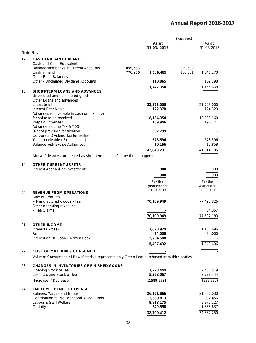|    |                                                                                               |         |                        | (Rupees) |            |
|----|-----------------------------------------------------------------------------------------------|---------|------------------------|----------|------------|
|    |                                                                                               |         | As at                  |          | As at      |
|    | Note No.                                                                                      |         | 31.03.2017             |          | 31.03.2016 |
| 17 | <b>CASH AND BANK BALANCE</b>                                                                  |         |                        |          |            |
|    | Cash and Cash Equivalent                                                                      |         |                        |          |            |
|    | Balance with banks in Current Accounts                                                        | 859,583 |                        | 889,689  |            |
|    | Cash in hand                                                                                  | 776,906 | 1,636,489              | 156,581  | 1,046,270  |
|    | Other Bank Balances                                                                           |         |                        |          |            |
|    | Other - Unclaimed Dividend Accounts                                                           |         | 110,865                |          | 109,398    |
|    |                                                                                               |         | 1,747,354              |          | 1,155,668  |
| 18 | SHORT-TERM LOANS AND ADVANCES                                                                 |         |                        |          |            |
|    | Unsecured and considered good                                                                 |         |                        |          |            |
|    | Other Loans and advances                                                                      |         |                        |          |            |
|    | Loans to others<br>Interest Receivable                                                        |         | 22,575,000             |          | 21,795,000 |
|    | Advances recoverable in cash or in kind or                                                    |         | 122,370                |          | 124,320    |
|    | for value to be received                                                                      |         | 18,134,354             |          | 18,208,160 |
|    | Prepaid Expenses                                                                              |         | 169,946                |          | 196,171    |
|    | Advance Income Tax & TDS                                                                      |         |                        |          |            |
|    | (Net of provision for taxation)                                                               |         | 352,799                |          |            |
|    | Corporate Dividend Tax for earlier                                                            |         |                        |          |            |
|    | Years receivable (Excess paid)                                                                |         | 678,596                |          | 678,596    |
|    | <b>Balance with Excise Authorities</b>                                                        |         | 10,166                 |          | 11,858     |
|    |                                                                                               |         | 42,043,231             |          | 41,014,105 |
|    | Above Advances are treated as short term as certified by the management.                      |         |                        |          |            |
| 19 | <b>OTHER CURRENT ASSETS</b>                                                                   |         |                        |          |            |
|    | Interest Accrued on Investments                                                               |         | 900                    |          | 900        |
|    |                                                                                               |         | 900                    |          | 900        |
|    |                                                                                               |         | For the                |          | For the    |
|    |                                                                                               |         | year ended             |          | year ended |
|    |                                                                                               |         | 31.03.2017             |          | 31.03.2016 |
| 20 | <b>REVENUE FROM OPERATIONS</b>                                                                |         |                        |          |            |
|    | Sale of Products<br>- Manufactured Goods - Tea                                                |         | 70,109,949             |          | 77,497,826 |
|    | Other operating revenues                                                                      |         |                        |          |            |
|    | - Tea Claims                                                                                  |         |                        |          | 84,357     |
|    |                                                                                               |         | 70,109,949             |          | 77,582,183 |
|    |                                                                                               |         |                        |          |            |
| 21 | <b>OTHER INCOME</b>                                                                           |         |                        |          |            |
|    | Interest (Gross)                                                                              |         | 2,678,924              |          | 1,156,696  |
|    | Rent                                                                                          |         | 84,000                 |          | 84,000     |
|    | Interest on HP Loan - Written Back                                                            |         | 2,734,508              |          |            |
|    |                                                                                               |         | 5,497,432              |          | 1,240,696  |
| 22 | <b>COST OF MATERIALS CONSUMED</b>                                                             |         |                        |          |            |
|    | Value of Consumtion of Raw Materials represents only Green Leaf purchased from third parties. |         |                        |          |            |
|    |                                                                                               |         |                        |          |            |
| 23 | <b>CHANGES IN INVENTORIES OF FINISHED GOODS</b>                                               |         |                        |          |            |
|    | Opening Stock of Tea                                                                          |         | 2,778,444<br>5,368,067 |          | 2,438,519  |
|    | Less: Closing Stock of Tea                                                                    |         |                        |          | 2,778,444  |
|    | (Increase) / Decrease                                                                         |         | (2,589,623)            |          | (339, 925) |
| 24 | <b>EMPLOYEE BENEFIT EXPENSE</b>                                                               |         |                        |          |            |
|    | Salaries, Wages and Bonus                                                                     |         | 26,151,866             |          | 21,666,030 |
|    | Contribution to Provident and Allied Funds                                                    |         | 2,380,813              |          | 2,002,456  |
|    | Labour & Staff Welfare                                                                        |         | 9,818,175              |          | 9,375,127  |
|    | Gratuity                                                                                      |         | 349,558                |          | 1,338,637  |
|    |                                                                                               |         | 38,700,412             |          | 34,382,250 |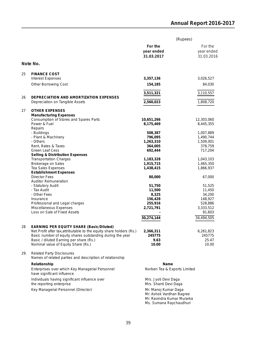|     |                                                                                              | (Rupees)                                                                                                  |                                     |  |
|-----|----------------------------------------------------------------------------------------------|-----------------------------------------------------------------------------------------------------------|-------------------------------------|--|
|     |                                                                                              | For the<br>year ended<br>31.03.2017                                                                       | For the<br>year ended<br>31.03.2016 |  |
|     | Note No.                                                                                     |                                                                                                           |                                     |  |
| 25  | <b>FINANCE COST</b>                                                                          |                                                                                                           |                                     |  |
|     | <b>Interest Expenses</b>                                                                     | 3,357,136                                                                                                 | 3,026,527                           |  |
|     | Other Borrowing Cost                                                                         | 154,185                                                                                                   | 84,030                              |  |
|     |                                                                                              | 3,511,321                                                                                                 | 3,110,557                           |  |
| 26  | DEPRECIATION AND AMORTIZATION EXPENSES<br>Depreciation on Tangible Assets                    | 2,560,023                                                                                                 | 1,808,720                           |  |
| 27  | <b>OTHER EXPENSES</b>                                                                        |                                                                                                           |                                     |  |
|     | <b>Manufacturing Expenses</b>                                                                |                                                                                                           |                                     |  |
|     | Consumption of Stores and Spares Parts<br>Power & Fuel                                       | 10,651,266                                                                                                | 12,303,060                          |  |
|     | Repairs                                                                                      | 8,175,469                                                                                                 | 8,445,355                           |  |
|     | - Buildings                                                                                  | 508,387                                                                                                   | 1,007,889                           |  |
|     | - Plant & Machinery                                                                          | 796,095                                                                                                   | 1,490,744                           |  |
|     | - Others                                                                                     | 1,263,310                                                                                                 | 1,509,001                           |  |
|     | Rent, Rates & Taxes                                                                          | 364,005                                                                                                   | 378,759                             |  |
|     | Green Leaf Cess                                                                              | 692,444                                                                                                   | 717,204                             |  |
|     | <b>Selling &amp; Distribution Expenses</b>                                                   |                                                                                                           |                                     |  |
|     | <b>Transportation Charges</b>                                                                | 1,183,328                                                                                                 | 1,043,103                           |  |
|     | Brokerage on Sales                                                                           | 1,915,715                                                                                                 | 1,465,350                           |  |
|     | Tea Sales Expenses                                                                           | 1,438,415                                                                                                 | 1,866,937                           |  |
|     | <b>Establishment Expenses</b>                                                                |                                                                                                           |                                     |  |
|     | Director Fees<br><b>Auditor Remuneration</b>                                                 | 80,000                                                                                                    | 67,000                              |  |
|     | - Statutory Audit                                                                            | 51,750                                                                                                    | 51,525                              |  |
|     | - Tax Audit                                                                                  | 11,500                                                                                                    | 11,450                              |  |
|     | - Other Fees                                                                                 | 8,325                                                                                                     | 34,200                              |  |
|     | Insurance                                                                                    | 156,428                                                                                                   | 148,927                             |  |
|     | Professional and Legal charges                                                               | 255,916                                                                                                   | 528,886                             |  |
|     | Miscellaneous Expenses                                                                       | 2,721,791                                                                                                 | 3,333,512                           |  |
|     | Loss on Sale of Fixed Assets                                                                 |                                                                                                           | 91,603                              |  |
|     |                                                                                              | 30,274,144                                                                                                | 34,494,505                          |  |
| 28  | <b>EARNING PER EQUITY SHARE (Basic/Diluted)</b>                                              |                                                                                                           |                                     |  |
|     | Net Profit after tax, attributable to the equity share holders (Rs.)                         | 2,366,311                                                                                                 | 6,261,823                           |  |
|     | Basic number of equity shares outstanding during the year                                    | 245775                                                                                                    | 245775                              |  |
|     | Basic / diluted Earning per share (Rs.)                                                      | 9.63                                                                                                      | 25.47                               |  |
|     | Nominal value of Equity Share (Rs.)                                                          | 10.00                                                                                                     | 10.00                               |  |
| 29. | <b>Related Party Disclosures</b><br>Names of related parties and description of relationship |                                                                                                           |                                     |  |
|     | Relationship                                                                                 | Name                                                                                                      |                                     |  |
|     | Enterprises over which Key Managerial Personnel<br>have significant influence                | Norben Tea & Exports Limited                                                                              |                                     |  |
|     | Individuals having significant influence over                                                | Mrs. Jyoti Devi Daga                                                                                      |                                     |  |
|     | the reporting enterprise                                                                     | Mrs. Shanti Devi Daga                                                                                     |                                     |  |
|     | Key Managerial Personnel (Director)                                                          | Mr. Manoj Kumar Daga<br>Mr. Ashok Vardhan Bagree<br>Mr. Ravindra Kumar Murarka<br>Ms. Sumana Raychaudhuri |                                     |  |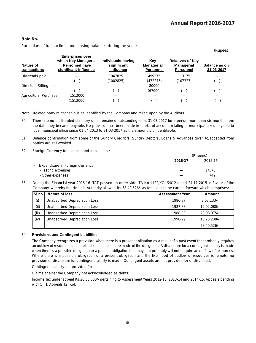(Rupees)

# **Note No.**

Particulars of transactions and closing balances during the year :

| Nature of<br>transactions | <b>Enterprises over</b><br>which Key Managerial<br><b>Personnel have</b><br>significant influence | Individuals having<br>significant<br>influence | Kev<br><b>Managerial</b><br><b>Personnel</b> | <b>Relatives of Key</b><br><b>Managerial</b><br>Personnel | <b>Balance as on</b><br>31-03-2017 |
|---------------------------|---------------------------------------------------------------------------------------------------|------------------------------------------------|----------------------------------------------|-----------------------------------------------------------|------------------------------------|
| Dividends paid            |                                                                                                   | 1047825                                        | 499275                                       | 113175                                                    |                                    |
|                           | $(-)$                                                                                             | (1002825)                                      | (472275)                                     | (107327)                                                  | $(-)$                              |
| Directors Sitting fees    |                                                                                                   |                                                | 80000                                        |                                                           |                                    |
|                           | $\left( \begin{matrix} \end{matrix} \right)$                                                      | $\left( -\right)$                              | (67000)                                      | (—)                                                       | $(-)$                              |
| Agricultural Purchase     | 1512000                                                                                           |                                                |                                              |                                                           |                                    |
|                           | (1512000)                                                                                         | $-$                                            | $\overline{\phantom{0}}$                     | $-$                                                       |                                    |

Note : Related party relationship is as identified by the Company and relied upon by the Auditors.

30. There are no undisputed statutory dues remained outstanding as at 31-03-2017 for a period more than six months from the date they became payable. No provision has been made in books of account relating to municipal taxes payable to local municipal office since 01-04-2013 to 31-03-2017 as the amount is unidentifiable.

- 31. Balance confirmation from some of the Sundry Creditors, Sundry Debtors, Loans & Advances given to/accepted from parties are still awaited.
- 32. Foreign Currency transaction and translation :

|                                 | (Rupees) |         |
|---------------------------------|----------|---------|
|                                 | 2016-17  | 2015-16 |
| Expenditure in Foreign Currency |          |         |
| - Testing expenses              |          | 17576   |
| - Other expenses                |          | 749     |
|                                 |          |         |

33. During the Financial year 2015-16 ITAT passed an order vide ITA No.1122/KOL/2012 dated 24-11-2015 in favour of the Company, whereby the Hon'ble Authority allowed Rs.58,40,526/- as total loss to be carried forward which comprises:-

| SI.no. | Nature of loss               | <b>Assessment Year</b> | Amount       |
|--------|------------------------------|------------------------|--------------|
| (i)    | Unabsorbed Depreciation Loss | 1986-87                | $8.07.133/-$ |
| (ii)   | Unabsorbed Depreciation Loss | 1987-88                | 12,02,080/-  |
| (iii)  | Unabsorbed Depreciation Loss | 1988-89                | 20.08.075/-  |
| (iv)   | Unabsorbed Depreciation Loss | 1998-99                | 18.23.238/-  |
|        |                              |                        | 58.40.526/-  |

# 34. **Provisions and Contingent Liabilities**

The Company recognizes a provision when there is a present obligation as a result of a past event that probably requires an outflow of resources and a reliable estimate can be made of the obligation. A disclosure for a contingent liability is made when there is a possible obligation or a present obligation that may, but probably will not, require an outflow of resources. Where there is a possible obligation or a present obligation and the likelihood of outflow of resources is remote, no provision or disclosure for contingent liability is made. Contingent assets are not provided for or disclosed.

Contingent Liability not provided for :

Claims against the Company not acknowledged as debts:

Income Tax under appeal Rs.26,38,800/- pertaining to Assessment Years 2012-13, 2013-14 and 2014-15. Appeals pending with C.I.T. Appeals (2) Kol.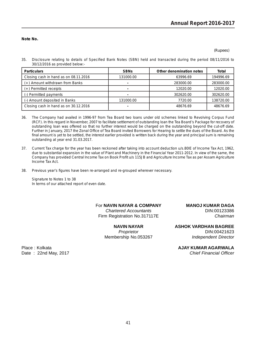# **Note No.**

# (Rupees)

35. Disclosure relating to details of Specified Bank Notes (SBN) held and transacted during the period 08/11/2016 to 30/12/2016 as provided below:-

| <b>Particulars</b>                    | <b>SBNs</b>    | Other denomination notes | Total     |
|---------------------------------------|----------------|--------------------------|-----------|
| Closing cash in hand as on 08.11.2016 | 131000.00      | 63996.69                 | 194996.69 |
| (+) Amount withdrawn from Banks       | $\blacksquare$ | 283000.00                | 283000.00 |
| (+) Permitted receipts                | -              | 12020.00                 | 12020.00  |
| (-) Permitted payments                | $\blacksquare$ | 302620.00                | 302620.00 |
| (-) Amount deposited in Banks         | 131000.00      | 7720.00                  | 138720.00 |
| Closing cash in hand as on 30.12.2016 | -              | 48676.69                 | 48676.69  |

- 36. The Company had availed in 1996-97 from Tea Board two loans under old schemes linked to Revolving Corpus Fund (RCF). In this regard in November, 2007 to facilitate settlement of outstanding loan the Tea Board's Package for recovery of outstanding loan was offered so that no further interest would be charged on the outstanding beyond the cut-off date. Further in January, 2017 the Zonal Office of Tea Board invited Borrowers for Hearing to settle the dues of the Board. As the final amount is yet to be settled, the interest earlier provided is written back during the year and principal sum is remaining outstanding at year end 31.03.2017.
- 37. Current Tax charge for the year has been reckoned after taking into account deduction u/s.80IE of Income Tax Act, 1962, due to substantial expansion in the value of Plant and Machinery in the Financial Year 2011-2012. In view of the same, the Company has provided Central Income Tax on Book Profit u/s 115JB and Agriculture Income Tax as per Assam Agriculture Income Tax Act.
- 38. Previous year's figures have been re-arranged and re-grouped wherever necessary.

Signature to Notes 1 to 38 In terms of our attached report of even date.

For **NAVIN NAYAR & COMPANY MANOJ KUMAR DAGA**

*Chartered Accountants* DIN:00123386 Firm Registration No.317117E *Chairman*

**Proprietor** DIN:00421623 Membership No.053267 *Independent Director*

**NAVIN NAYAR ASHOK VARDHAN BAGREE**

Place : Kolkata **AJAY KUMAR AGARWALA**

Date : 22nd May, 2017 *Chief Financial Officer*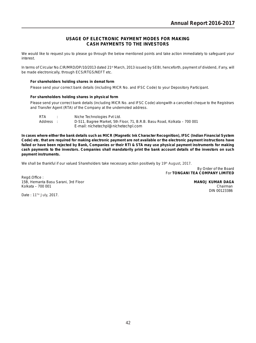# **USAGE OF ELECTRONIC PAYMENT MODES FOR MAKING CASH PAYMENTS TO THE INVESTORS**

We would like to request you to please go through the below mentioned points and take action immediately to safeguard your interest.

In terms of Circular No.CIR/MRD/DP/10/2013 dated 21<sup>st</sup> March, 2013 issued by SEBI, henceforth, payment of dividend, if any, will be made electronically, through ECS/RTGS/NEFT etc.

#### **For shareholders holding shares in demat form**

Please send your correct bank details (including MICR No. and IFSC Code) to your Depository Participant.

#### **For shareholders holding shares in physical form**

Please send your correct bank details (including MICR No. and IFSC Code) alongwith a cancelled cheque to the Registrars and Transfer Agent (RTA) of the Company at the undernoted address.

| <b>RTA</b> | Niche Technologies Pvt Ltd.                                              |
|------------|--------------------------------------------------------------------------|
| Address :  | D-511, Bagree Market, 5th Floor, 71, B.R.B. Basu Road, Kolkata - 700 001 |
|            | E-mail: nichetechpl@nichetechpl.com                                      |

**In cases where either the bank details such as MICR (Magnetic Ink Character Recognition), IFSC (Indian Financial System Code) etc. that are required for making electronic payment are not available or the electronic payment instructions have failed or have been rejected by Bank, Companies or their RTI & STA may use physical payment instruments for making cash payments to the investors. Companies shall mandatorily print the bank account details of the investors on such payment instruments.**

We shall be thankful if our valued Shareholders take necessary action positively by 19<sup>th</sup> August, 2017.

By Order of the Board For **TONGANI TEA COMPANY LIMITED**

Regd.Office : 15B, Hemanta Basu Sarani, 3rd Floor **MANOJ KUMAR DAGA** Kolkata – 700 001 *Chairman*

DIN 00123386

Date : 11TH July, 2017.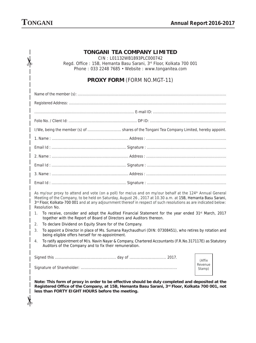$\frac{1}{2}$ 

 $\frac{1}{\sqrt{2}}$ 

| <b>TONGANI TEA COMPANY LIMITED</b><br>CIN: L01132WB1893PLC000742<br>Regd. Office: 15B, Hemanta Basu Sarani, 3rd Floor, Kolkata 700 001<br>Phone: 033 2248 7685 · Website: www.tonganitea.com                                                                                                                                                                              |                                                                                                                |  |  |  |  |
|---------------------------------------------------------------------------------------------------------------------------------------------------------------------------------------------------------------------------------------------------------------------------------------------------------------------------------------------------------------------------|----------------------------------------------------------------------------------------------------------------|--|--|--|--|
| <b>PROXY FORM (FORM NO.MGT-11)</b>                                                                                                                                                                                                                                                                                                                                        |                                                                                                                |  |  |  |  |
|                                                                                                                                                                                                                                                                                                                                                                           |                                                                                                                |  |  |  |  |
|                                                                                                                                                                                                                                                                                                                                                                           |                                                                                                                |  |  |  |  |
|                                                                                                                                                                                                                                                                                                                                                                           |                                                                                                                |  |  |  |  |
| I/We, being the member (s) of  shares of the Tongani Tea Company Limited, hereby appoint.                                                                                                                                                                                                                                                                                 |                                                                                                                |  |  |  |  |
|                                                                                                                                                                                                                                                                                                                                                                           |                                                                                                                |  |  |  |  |
|                                                                                                                                                                                                                                                                                                                                                                           |                                                                                                                |  |  |  |  |
|                                                                                                                                                                                                                                                                                                                                                                           |                                                                                                                |  |  |  |  |
|                                                                                                                                                                                                                                                                                                                                                                           |                                                                                                                |  |  |  |  |
|                                                                                                                                                                                                                                                                                                                                                                           |                                                                                                                |  |  |  |  |
|                                                                                                                                                                                                                                                                                                                                                                           |                                                                                                                |  |  |  |  |
| As my/our proxy to attend and vote (on a poll) for me/us and on my/our behalf at the 124 <sup>th</sup> Annual General<br>Meeting of the Company, to be held on Saturday, August 26, 2017 at 10.30 a.m. at 15B, Hemanta Basu Sarani,<br>3rd Floor, Kolkata-700 001 and at any adjournment thereof in respect of such resolutions as are indicated below:<br>Resolution No. |                                                                                                                |  |  |  |  |
| 1.<br>together with the Report of Board of Directors and Auditors thereon.                                                                                                                                                                                                                                                                                                | To receive, consider and adopt the Audited Financial Statement for the year ended 31 <sup>st</sup> March, 2017 |  |  |  |  |
| To declare Dividend on Equity Share for of the Company.<br>2.                                                                                                                                                                                                                                                                                                             |                                                                                                                |  |  |  |  |
| 3.<br>being eligible offers herself for re-appointment.                                                                                                                                                                                                                                                                                                                   | To appoint a Director in place of Ms. Sumana Raychaudhuri (DIN: 07308451), who retires by rotation and         |  |  |  |  |
| 4.<br>Auditors of the Company and to fix their remuneration.                                                                                                                                                                                                                                                                                                              | To ratify appointment of M/s. Navin Nayar & Company, Chartered Accountants (F.R.No.317117E) as Statutory       |  |  |  |  |
|                                                                                                                                                                                                                                                                                                                                                                           | (Affix                                                                                                         |  |  |  |  |
|                                                                                                                                                                                                                                                                                                                                                                           | Revenue<br>Stamp)                                                                                              |  |  |  |  |
| Note: This form of proxy in order to be effective should be duly completed and deposited at the<br>Registered Office of the Company, at 15B, Hemanta Basu Sarani, 3rd Floor, Kolkata 700 001, not<br>less than FORTY EIGHT HOURS before the meeting.                                                                                                                      |                                                                                                                |  |  |  |  |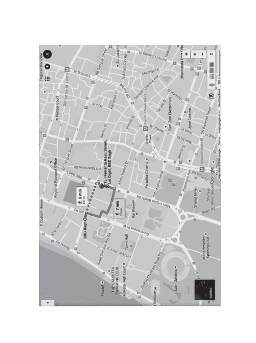